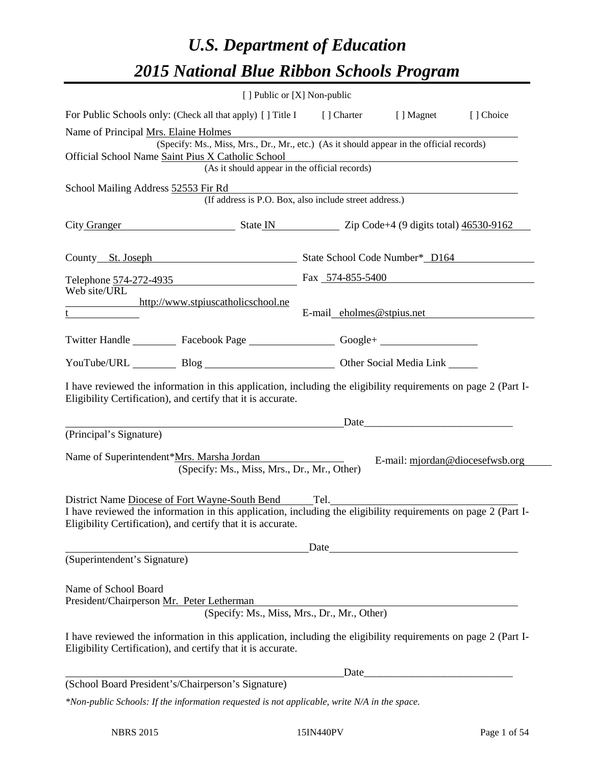# *U.S. Department of Education 2015 National Blue Ribbon Schools Program*

|                                                                                                                                                                                                                                                                                                                                                                                                                                                               |                                                                                          | [ ] Public or [X] Non-public |                                                                                                                                                                                                                                                                                                                                                                                                     |           |  |
|---------------------------------------------------------------------------------------------------------------------------------------------------------------------------------------------------------------------------------------------------------------------------------------------------------------------------------------------------------------------------------------------------------------------------------------------------------------|------------------------------------------------------------------------------------------|------------------------------|-----------------------------------------------------------------------------------------------------------------------------------------------------------------------------------------------------------------------------------------------------------------------------------------------------------------------------------------------------------------------------------------------------|-----------|--|
| For Public Schools only: (Check all that apply) [] Title I [] Charter [] Magnet                                                                                                                                                                                                                                                                                                                                                                               |                                                                                          |                              |                                                                                                                                                                                                                                                                                                                                                                                                     | [] Choice |  |
| Name of Principal Mrs. Elaine Holmes                                                                                                                                                                                                                                                                                                                                                                                                                          |                                                                                          |                              |                                                                                                                                                                                                                                                                                                                                                                                                     |           |  |
|                                                                                                                                                                                                                                                                                                                                                                                                                                                               | (Specify: Ms., Miss, Mrs., Dr., Mr., etc.) (As it should appear in the official records) |                              |                                                                                                                                                                                                                                                                                                                                                                                                     |           |  |
| Official School Name Saint Pius X Catholic School                                                                                                                                                                                                                                                                                                                                                                                                             | (As it should appear in the official records)                                            |                              | <u> 1989 - Johann Barbara, marka a shekara tsa 1989 - An tsa 1989 - An tsa 1989 - An tsa 1989 - An tsa 1989 - An</u>                                                                                                                                                                                                                                                                                |           |  |
|                                                                                                                                                                                                                                                                                                                                                                                                                                                               |                                                                                          |                              |                                                                                                                                                                                                                                                                                                                                                                                                     |           |  |
| School Mailing Address 52553 Fir Rd                                                                                                                                                                                                                                                                                                                                                                                                                           | (If address is P.O. Box, also include street address.)                                   |                              |                                                                                                                                                                                                                                                                                                                                                                                                     |           |  |
| City Granger State IN Zip Code+4 (9 digits total) 46530-9162                                                                                                                                                                                                                                                                                                                                                                                                  |                                                                                          |                              |                                                                                                                                                                                                                                                                                                                                                                                                     |           |  |
| County St. Joseph State School Code Number* D164                                                                                                                                                                                                                                                                                                                                                                                                              |                                                                                          |                              |                                                                                                                                                                                                                                                                                                                                                                                                     |           |  |
| Telephone 574-272-4935                                                                                                                                                                                                                                                                                                                                                                                                                                        |                                                                                          |                              | Fax 574-855-5400                                                                                                                                                                                                                                                                                                                                                                                    |           |  |
| Web site/URL                                                                                                                                                                                                                                                                                                                                                                                                                                                  |                                                                                          |                              |                                                                                                                                                                                                                                                                                                                                                                                                     |           |  |
| $\overline{\mathbf{t}}$ $\overline{\mathbf{t}}$ $\overline{\mathbf{t}}$ $\overline{\mathbf{t}}$ $\overline{\mathbf{t}}$ $\overline{\mathbf{t}}$ $\overline{\mathbf{t}}$ $\overline{\mathbf{t}}$ $\overline{\mathbf{t}}$ $\overline{\mathbf{t}}$ $\overline{\mathbf{t}}$ $\overline{\mathbf{t}}$ $\overline{\mathbf{t}}$ $\overline{\mathbf{t}}$ $\overline{\mathbf{t}}$ $\overline{\mathbf{t}}$ $\overline{\mathbf{t}}$ $\overline{\mathbf{t}}$ $\overline{\$ | http://www.stpiuscatholicschool.ne                                                       |                              | E-mail eholmes@stpius.net                                                                                                                                                                                                                                                                                                                                                                           |           |  |
| Twitter Handle ___________ Facebook Page ___________________ Google+ ____________                                                                                                                                                                                                                                                                                                                                                                             |                                                                                          |                              |                                                                                                                                                                                                                                                                                                                                                                                                     |           |  |
|                                                                                                                                                                                                                                                                                                                                                                                                                                                               |                                                                                          |                              | YouTube/URL Blog Blog Dther Social Media Link                                                                                                                                                                                                                                                                                                                                                       |           |  |
| Eligibility Certification), and certify that it is accurate.                                                                                                                                                                                                                                                                                                                                                                                                  |                                                                                          |                              | $Date$ $\qquad \qquad$ $\qquad \qquad$ $\qquad \qquad$ $\qquad \qquad$ $\qquad \qquad$ $\qquad \qquad$ $\qquad \qquad$ $\qquad \qquad$ $\qquad \qquad$ $\qquad \qquad \qquad$ $\qquad \qquad$ $\qquad \qquad$ $\qquad \qquad$ $\qquad \qquad$ $\qquad \qquad$ $\qquad \qquad$ $\qquad \qquad$ $\qquad \qquad$ $\qquad$ $\qquad \qquad$ $\qquad \qquad$ $\qquad$ $\qquad$ $\qquad$ $\qquad$ $\qquad$ |           |  |
| (Principal's Signature)                                                                                                                                                                                                                                                                                                                                                                                                                                       |                                                                                          |                              |                                                                                                                                                                                                                                                                                                                                                                                                     |           |  |
| Name of Superintendent*Mrs. Marsha Jordan                                                                                                                                                                                                                                                                                                                                                                                                                     | (Specify: Ms., Miss, Mrs., Dr., Mr., Other)                                              |                              | E-mail: mjordan@diocesefwsb.org                                                                                                                                                                                                                                                                                                                                                                     |           |  |
| District Name Diocese of Fort Wayne-South Bend Tel.                                                                                                                                                                                                                                                                                                                                                                                                           |                                                                                          |                              |                                                                                                                                                                                                                                                                                                                                                                                                     |           |  |
| I have reviewed the information in this application, including the eligibility requirements on page 2 (Part I-<br>Eligibility Certification), and certify that it is accurate.                                                                                                                                                                                                                                                                                |                                                                                          |                              |                                                                                                                                                                                                                                                                                                                                                                                                     |           |  |
|                                                                                                                                                                                                                                                                                                                                                                                                                                                               |                                                                                          | Date                         |                                                                                                                                                                                                                                                                                                                                                                                                     |           |  |
| (Superintendent's Signature)                                                                                                                                                                                                                                                                                                                                                                                                                                  |                                                                                          |                              |                                                                                                                                                                                                                                                                                                                                                                                                     |           |  |
| Name of School Board<br>President/Chairperson Mr. Peter Letherman                                                                                                                                                                                                                                                                                                                                                                                             | (Specify: Ms., Miss, Mrs., Dr., Mr., Other)                                              |                              |                                                                                                                                                                                                                                                                                                                                                                                                     |           |  |
| I have reviewed the information in this application, including the eligibility requirements on page 2 (Part I-<br>Eligibility Certification), and certify that it is accurate.                                                                                                                                                                                                                                                                                |                                                                                          |                              |                                                                                                                                                                                                                                                                                                                                                                                                     |           |  |
|                                                                                                                                                                                                                                                                                                                                                                                                                                                               |                                                                                          | Date                         | <u> 1989 - Johann John Stone, mars eta biztanleria (</u>                                                                                                                                                                                                                                                                                                                                            |           |  |
| (School Board President's/Chairperson's Signature)                                                                                                                                                                                                                                                                                                                                                                                                            |                                                                                          |                              |                                                                                                                                                                                                                                                                                                                                                                                                     |           |  |
| *Non-public Schools: If the information requested is not applicable, write N/A in the space.                                                                                                                                                                                                                                                                                                                                                                  |                                                                                          |                              |                                                                                                                                                                                                                                                                                                                                                                                                     |           |  |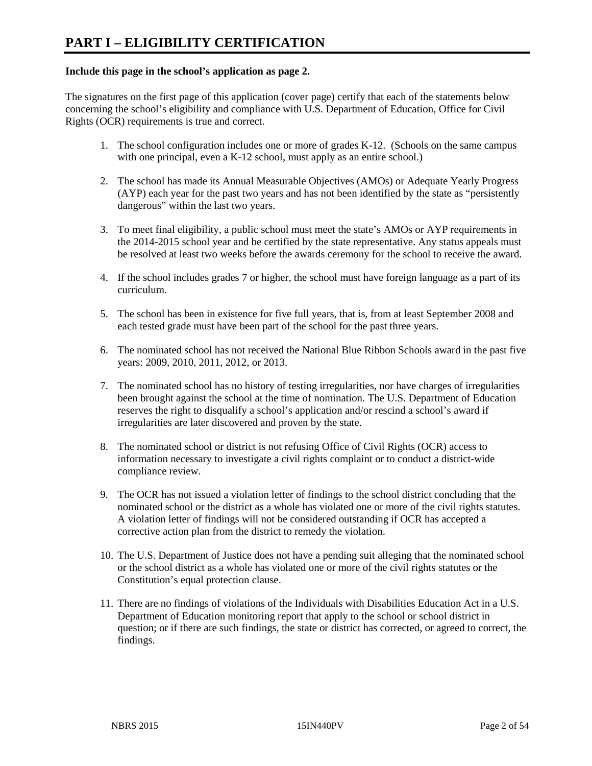#### **Include this page in the school's application as page 2.**

The signatures on the first page of this application (cover page) certify that each of the statements below concerning the school's eligibility and compliance with U.S. Department of Education, Office for Civil Rights (OCR) requirements is true and correct.

- 1. The school configuration includes one or more of grades K-12. (Schools on the same campus with one principal, even a K-12 school, must apply as an entire school.)
- 2. The school has made its Annual Measurable Objectives (AMOs) or Adequate Yearly Progress (AYP) each year for the past two years and has not been identified by the state as "persistently dangerous" within the last two years.
- 3. To meet final eligibility, a public school must meet the state's AMOs or AYP requirements in the 2014-2015 school year and be certified by the state representative. Any status appeals must be resolved at least two weeks before the awards ceremony for the school to receive the award.
- 4. If the school includes grades 7 or higher, the school must have foreign language as a part of its curriculum.
- 5. The school has been in existence for five full years, that is, from at least September 2008 and each tested grade must have been part of the school for the past three years.
- 6. The nominated school has not received the National Blue Ribbon Schools award in the past five years: 2009, 2010, 2011, 2012, or 2013.
- 7. The nominated school has no history of testing irregularities, nor have charges of irregularities been brought against the school at the time of nomination. The U.S. Department of Education reserves the right to disqualify a school's application and/or rescind a school's award if irregularities are later discovered and proven by the state.
- 8. The nominated school or district is not refusing Office of Civil Rights (OCR) access to information necessary to investigate a civil rights complaint or to conduct a district-wide compliance review.
- 9. The OCR has not issued a violation letter of findings to the school district concluding that the nominated school or the district as a whole has violated one or more of the civil rights statutes. A violation letter of findings will not be considered outstanding if OCR has accepted a corrective action plan from the district to remedy the violation.
- 10. The U.S. Department of Justice does not have a pending suit alleging that the nominated school or the school district as a whole has violated one or more of the civil rights statutes or the Constitution's equal protection clause.
- 11. There are no findings of violations of the Individuals with Disabilities Education Act in a U.S. Department of Education monitoring report that apply to the school or school district in question; or if there are such findings, the state or district has corrected, or agreed to correct, the findings.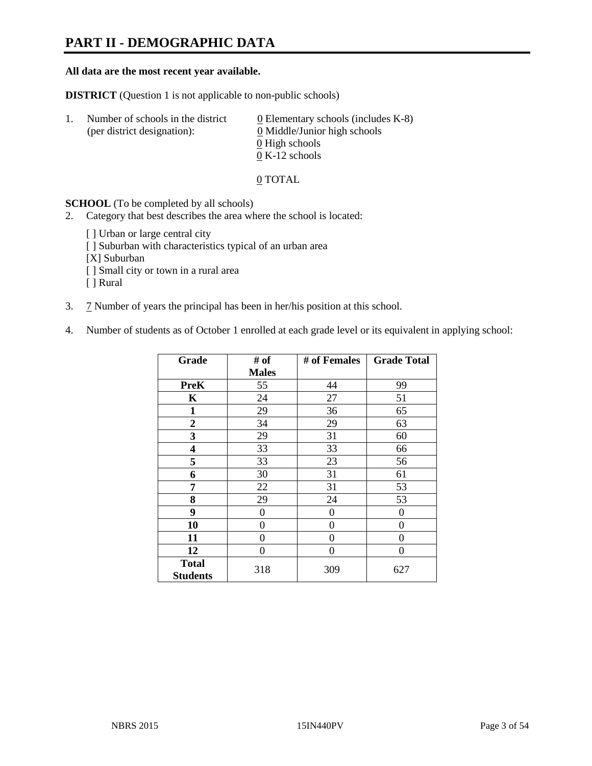# **PART II - DEMOGRAPHIC DATA**

#### **All data are the most recent year available.**

**DISTRICT** (Question 1 is not applicable to non-public schools)

| -1. | Number of schools in the district<br>(per district designation): | $\underline{0}$ Elementary schools (includes K-8)<br>0 Middle/Junior high schools<br>0 High schools |
|-----|------------------------------------------------------------------|-----------------------------------------------------------------------------------------------------|
|     |                                                                  |                                                                                                     |
|     |                                                                  | $0 K-12$ schools                                                                                    |

0 TOTAL

**SCHOOL** (To be completed by all schools)

- 2. Category that best describes the area where the school is located:
	- [ ] Urban or large central city
	- [ ] Suburban with characteristics typical of an urban area
	- [X] Suburban
	- [ ] Small city or town in a rural area
	- [ ] Rural
- 3. 7 Number of years the principal has been in her/his position at this school.
- 4. Number of students as of October 1 enrolled at each grade level or its equivalent in applying school:

| Grade                           | # of         | # of Females     | <b>Grade Total</b> |
|---------------------------------|--------------|------------------|--------------------|
|                                 | <b>Males</b> |                  |                    |
| <b>PreK</b>                     | 55           | 44               | 99                 |
| K                               | 24           | 27               | 51                 |
| $\mathbf{1}$                    | 29           | 36               | 65                 |
| $\boldsymbol{2}$                | 34           | 29               | 63                 |
| 3                               | 29           | 31               | 60                 |
| 4                               | 33           | 33               | 66                 |
| 5                               | 33           | 23               | 56                 |
| 6                               | 30           | 31               | 61                 |
| 7                               | 22           | 31               | 53                 |
| 8                               | 29           | 24               | 53                 |
| 9                               | 0            | $\boldsymbol{0}$ | 0                  |
| 10                              | $\theta$     | 0                | 0                  |
| 11                              | 0            | 0                | 0                  |
| 12                              | 0            | 0                | 0                  |
| <b>Total</b><br><b>Students</b> | 318          | 309              | 627                |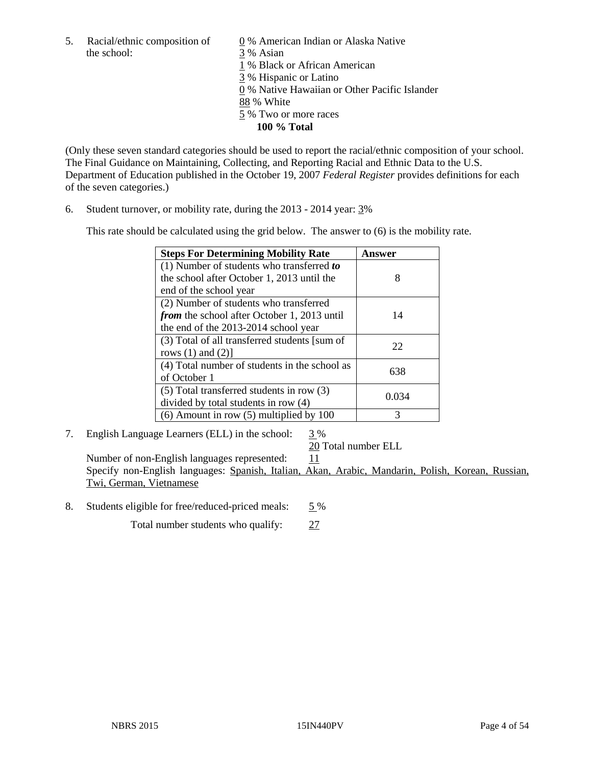5. Racial/ethnic composition of  $\qquad 0\%$  American Indian or Alaska Native the school: 3 % Asian

 % Black or African American % Hispanic or Latino % Native Hawaiian or Other Pacific Islander 88 % White % Two or more races **100 % Total**

(Only these seven standard categories should be used to report the racial/ethnic composition of your school. The Final Guidance on Maintaining, Collecting, and Reporting Racial and Ethnic Data to the U.S. Department of Education published in the October 19, 2007 *Federal Register* provides definitions for each of the seven categories.)

6. Student turnover, or mobility rate, during the 2013 - 2014 year: 3%

This rate should be calculated using the grid below. The answer to (6) is the mobility rate.

| <b>Steps For Determining Mobility Rate</b>         | Answer |
|----------------------------------------------------|--------|
| $(1)$ Number of students who transferred to        |        |
| the school after October 1, 2013 until the         | 8      |
| end of the school year                             |        |
| (2) Number of students who transferred             |        |
| <i>from</i> the school after October 1, 2013 until | 14     |
| the end of the 2013-2014 school year               |        |
| (3) Total of all transferred students [sum of      | 22     |
| rows $(1)$ and $(2)$ ]                             |        |
| (4) Total number of students in the school as      | 638    |
| of October 1                                       |        |
| $(5)$ Total transferred students in row $(3)$      |        |
| divided by total students in row (4)               | 0.034  |
| $(6)$ Amount in row $(5)$ multiplied by 100        | 3      |

7. English Language Learners (ELL) in the school: 3 %

20 Total number ELL

Number of non-English languages represented: 11<br>Specify non-English languages: Spanish, Italian, Aka Akan, Arabic, Mandarin, Polish, Korean, Russian, Twi, German, Vietnamese

8. Students eligible for free/reduced-priced meals: 5 %

Total number students who qualify: 27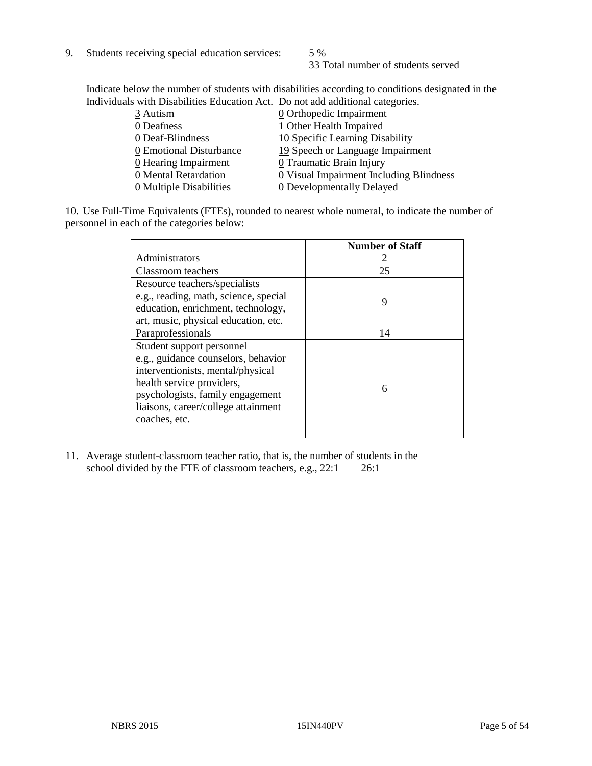9. Students receiving special education services:  $\frac{5}{9}$  %

33 Total number of students served

Indicate below the number of students with disabilities according to conditions designated in the Individuals with Disabilities Education Act. Do not add additional categories.

| 3 Autism                | $\underline{0}$ Orthopedic Impairment                 |
|-------------------------|-------------------------------------------------------|
| 0 Deafness              | 1 Other Health Impaired                               |
| 0 Deaf-Blindness        | 10 Specific Learning Disability                       |
| 0 Emotional Disturbance | 19 Speech or Language Impairment                      |
| 0 Hearing Impairment    | 0 Traumatic Brain Injury                              |
| 0 Mental Retardation    | $\underline{0}$ Visual Impairment Including Blindness |
| 0 Multiple Disabilities | 0 Developmentally Delayed                             |

10. Use Full-Time Equivalents (FTEs), rounded to nearest whole numeral, to indicate the number of personnel in each of the categories below:

|                                       | <b>Number of Staff</b> |
|---------------------------------------|------------------------|
| Administrators                        |                        |
| Classroom teachers                    | 25                     |
| Resource teachers/specialists         |                        |
| e.g., reading, math, science, special | 9                      |
| education, enrichment, technology,    |                        |
| art, music, physical education, etc.  |                        |
| Paraprofessionals                     | 14                     |
| Student support personnel             |                        |
| e.g., guidance counselors, behavior   |                        |
| interventionists, mental/physical     |                        |
| health service providers,             | 6                      |
| psychologists, family engagement      |                        |
| liaisons, career/college attainment   |                        |
| coaches, etc.                         |                        |
|                                       |                        |

11. Average student-classroom teacher ratio, that is, the number of students in the school divided by the FTE of classroom teachers, e.g.,  $22:1$   $26:1$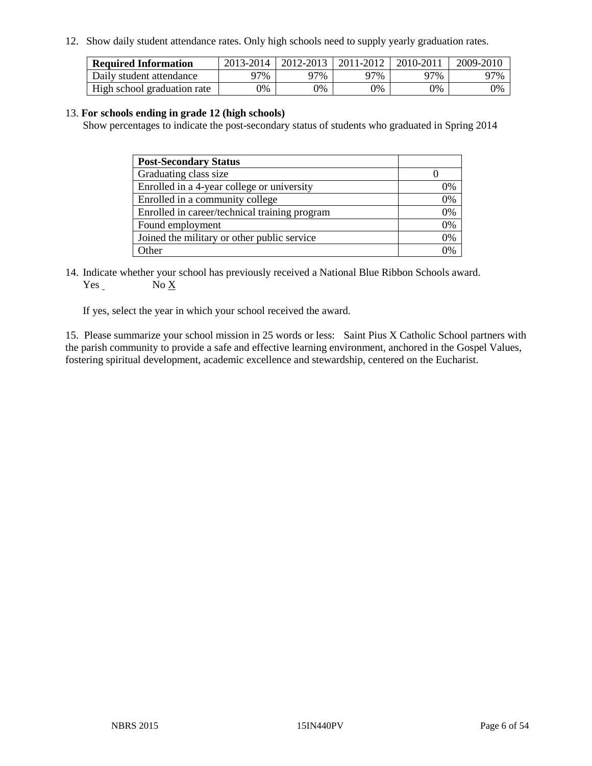12. Show daily student attendance rates. Only high schools need to supply yearly graduation rates.

| <b>Required Information</b> | 2013-2014 | 2012-2013 | 2011-2012 | 2010-2011 | 2009-2010 |
|-----------------------------|-----------|-----------|-----------|-----------|-----------|
| Daily student attendance    | 97%       | 97%       | 97%       | 97%       | 97%       |
| High school graduation rate | $9\%$     | $9\%$     | 9%        | 9%        | 0%        |

#### 13. **For schools ending in grade 12 (high schools)**

Show percentages to indicate the post-secondary status of students who graduated in Spring 2014

| <b>Post-Secondary Status</b>                  |    |
|-----------------------------------------------|----|
| Graduating class size                         |    |
| Enrolled in a 4-year college or university    | 0% |
| Enrolled in a community college               | 0% |
| Enrolled in career/technical training program | 0% |
| Found employment                              | 0% |
| Joined the military or other public service   | 0% |
| Other                                         |    |

14. Indicate whether your school has previously received a National Blue Ribbon Schools award. Yes No X

If yes, select the year in which your school received the award.

15. Please summarize your school mission in 25 words or less: Saint Pius X Catholic School partners with the parish community to provide a safe and effective learning environment, anchored in the Gospel Values, fostering spiritual development, academic excellence and stewardship, centered on the Eucharist.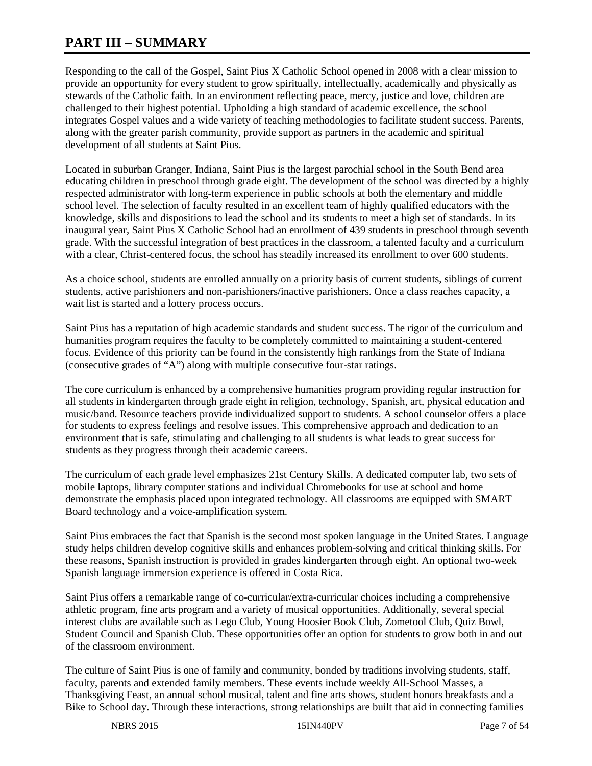# **PART III – SUMMARY**

Responding to the call of the Gospel, Saint Pius X Catholic School opened in 2008 with a clear mission to provide an opportunity for every student to grow spiritually, intellectually, academically and physically as stewards of the Catholic faith. In an environment reflecting peace, mercy, justice and love, children are challenged to their highest potential. Upholding a high standard of academic excellence, the school integrates Gospel values and a wide variety of teaching methodologies to facilitate student success. Parents, along with the greater parish community, provide support as partners in the academic and spiritual development of all students at Saint Pius.

Located in suburban Granger, Indiana, Saint Pius is the largest parochial school in the South Bend area educating children in preschool through grade eight. The development of the school was directed by a highly respected administrator with long-term experience in public schools at both the elementary and middle school level. The selection of faculty resulted in an excellent team of highly qualified educators with the knowledge, skills and dispositions to lead the school and its students to meet a high set of standards. In its inaugural year, Saint Pius X Catholic School had an enrollment of 439 students in preschool through seventh grade. With the successful integration of best practices in the classroom, a talented faculty and a curriculum with a clear, Christ-centered focus, the school has steadily increased its enrollment to over 600 students.

As a choice school, students are enrolled annually on a priority basis of current students, siblings of current students, active parishioners and non-parishioners/inactive parishioners. Once a class reaches capacity, a wait list is started and a lottery process occurs.

Saint Pius has a reputation of high academic standards and student success. The rigor of the curriculum and humanities program requires the faculty to be completely committed to maintaining a student-centered focus. Evidence of this priority can be found in the consistently high rankings from the State of Indiana (consecutive grades of "A") along with multiple consecutive four-star ratings.

The core curriculum is enhanced by a comprehensive humanities program providing regular instruction for all students in kindergarten through grade eight in religion, technology, Spanish, art, physical education and music/band. Resource teachers provide individualized support to students. A school counselor offers a place for students to express feelings and resolve issues. This comprehensive approach and dedication to an environment that is safe, stimulating and challenging to all students is what leads to great success for students as they progress through their academic careers.

The curriculum of each grade level emphasizes 21st Century Skills. A dedicated computer lab, two sets of mobile laptops, library computer stations and individual Chromebooks for use at school and home demonstrate the emphasis placed upon integrated technology. All classrooms are equipped with SMART Board technology and a voice-amplification system.

Saint Pius embraces the fact that Spanish is the second most spoken language in the United States. Language study helps children develop cognitive skills and enhances problem-solving and critical thinking skills. For these reasons, Spanish instruction is provided in grades kindergarten through eight. An optional two-week Spanish language immersion experience is offered in Costa Rica.

Saint Pius offers a remarkable range of co-curricular/extra-curricular choices including a comprehensive athletic program, fine arts program and a variety of musical opportunities. Additionally, several special interest clubs are available such as Lego Club, Young Hoosier Book Club, Zometool Club, Quiz Bowl, Student Council and Spanish Club. These opportunities offer an option for students to grow both in and out of the classroom environment.

The culture of Saint Pius is one of family and community, bonded by traditions involving students, staff, faculty, parents and extended family members. These events include weekly All-School Masses, a Thanksgiving Feast, an annual school musical, talent and fine arts shows, student honors breakfasts and a Bike to School day. Through these interactions, strong relationships are built that aid in connecting families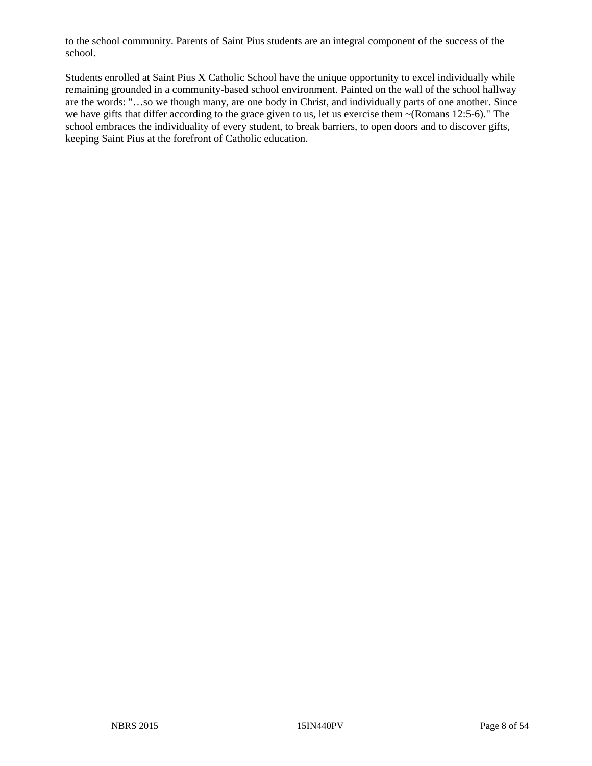to the school community. Parents of Saint Pius students are an integral component of the success of the school.

Students enrolled at Saint Pius X Catholic School have the unique opportunity to excel individually while remaining grounded in a community-based school environment. Painted on the wall of the school hallway are the words: "…so we though many, are one body in Christ, and individually parts of one another. Since we have gifts that differ according to the grace given to us, let us exercise them ~(Romans 12:5-6)." The school embraces the individuality of every student, to break barriers, to open doors and to discover gifts, keeping Saint Pius at the forefront of Catholic education.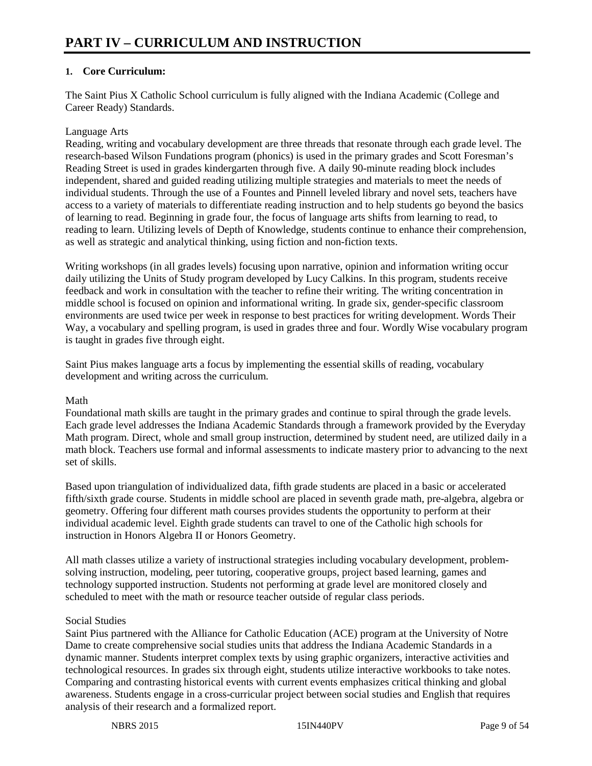#### **1. Core Curriculum:**

The Saint Pius X Catholic School curriculum is fully aligned with the Indiana Academic (College and Career Ready) Standards.

#### Language Arts

Reading, writing and vocabulary development are three threads that resonate through each grade level. The research-based Wilson Fundations program (phonics) is used in the primary grades and Scott Foresman's Reading Street is used in grades kindergarten through five. A daily 90-minute reading block includes independent, shared and guided reading utilizing multiple strategies and materials to meet the needs of individual students. Through the use of a Fountes and Pinnell leveled library and novel sets, teachers have access to a variety of materials to differentiate reading instruction and to help students go beyond the basics of learning to read. Beginning in grade four, the focus of language arts shifts from learning to read, to reading to learn. Utilizing levels of Depth of Knowledge, students continue to enhance their comprehension, as well as strategic and analytical thinking, using fiction and non-fiction texts.

Writing workshops (in all grades levels) focusing upon narrative, opinion and information writing occur daily utilizing the Units of Study program developed by Lucy Calkins. In this program, students receive feedback and work in consultation with the teacher to refine their writing. The writing concentration in middle school is focused on opinion and informational writing. In grade six, gender-specific classroom environments are used twice per week in response to best practices for writing development. Words Their Way, a vocabulary and spelling program, is used in grades three and four. Wordly Wise vocabulary program is taught in grades five through eight.

Saint Pius makes language arts a focus by implementing the essential skills of reading, vocabulary development and writing across the curriculum.

#### Math

Foundational math skills are taught in the primary grades and continue to spiral through the grade levels. Each grade level addresses the Indiana Academic Standards through a framework provided by the Everyday Math program. Direct, whole and small group instruction, determined by student need, are utilized daily in a math block. Teachers use formal and informal assessments to indicate mastery prior to advancing to the next set of skills.

Based upon triangulation of individualized data, fifth grade students are placed in a basic or accelerated fifth/sixth grade course. Students in middle school are placed in seventh grade math, pre-algebra, algebra or geometry. Offering four different math courses provides students the opportunity to perform at their individual academic level. Eighth grade students can travel to one of the Catholic high schools for instruction in Honors Algebra II or Honors Geometry.

All math classes utilize a variety of instructional strategies including vocabulary development, problemsolving instruction, modeling, peer tutoring, cooperative groups, project based learning, games and technology supported instruction. Students not performing at grade level are monitored closely and scheduled to meet with the math or resource teacher outside of regular class periods.

#### Social Studies

Saint Pius partnered with the Alliance for Catholic Education (ACE) program at the University of Notre Dame to create comprehensive social studies units that address the Indiana Academic Standards in a dynamic manner. Students interpret complex texts by using graphic organizers, interactive activities and technological resources. In grades six through eight, students utilize interactive workbooks to take notes. Comparing and contrasting historical events with current events emphasizes critical thinking and global awareness. Students engage in a cross-curricular project between social studies and English that requires analysis of their research and a formalized report.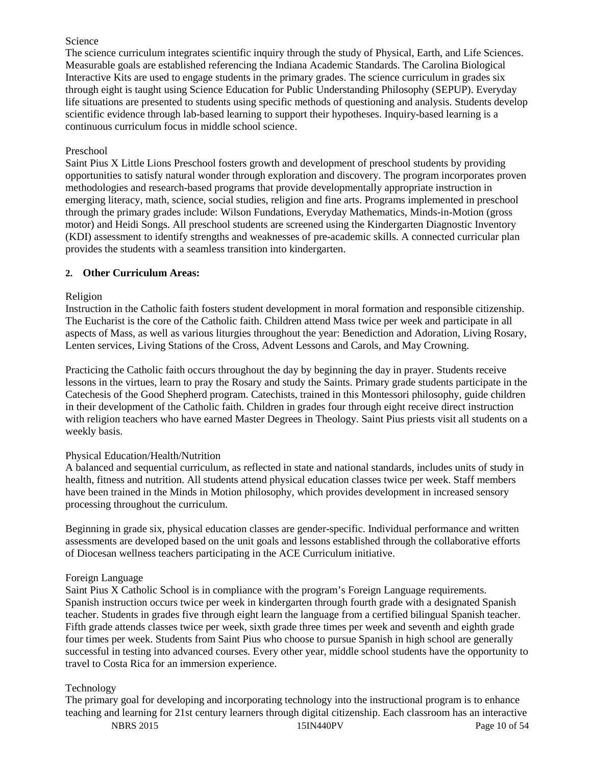#### Science

The science curriculum integrates scientific inquiry through the study of Physical, Earth, and Life Sciences. Measurable goals are established referencing the Indiana Academic Standards. The Carolina Biological Interactive Kits are used to engage students in the primary grades. The science curriculum in grades six through eight is taught using Science Education for Public Understanding Philosophy (SEPUP). Everyday life situations are presented to students using specific methods of questioning and analysis. Students develop scientific evidence through lab-based learning to support their hypotheses. Inquiry-based learning is a continuous curriculum focus in middle school science.

#### Preschool

Saint Pius X Little Lions Preschool fosters growth and development of preschool students by providing opportunities to satisfy natural wonder through exploration and discovery. The program incorporates proven methodologies and research-based programs that provide developmentally appropriate instruction in emerging literacy, math, science, social studies, religion and fine arts. Programs implemented in preschool through the primary grades include: Wilson Fundations, Everyday Mathematics, Minds-in-Motion (gross motor) and Heidi Songs. All preschool students are screened using the Kindergarten Diagnostic Inventory (KDI) assessment to identify strengths and weaknesses of pre-academic skills. A connected curricular plan provides the students with a seamless transition into kindergarten.

#### **2. Other Curriculum Areas:**

#### Religion

Instruction in the Catholic faith fosters student development in moral formation and responsible citizenship. The Eucharist is the core of the Catholic faith. Children attend Mass twice per week and participate in all aspects of Mass, as well as various liturgies throughout the year: Benediction and Adoration, Living Rosary, Lenten services, Living Stations of the Cross, Advent Lessons and Carols, and May Crowning.

Practicing the Catholic faith occurs throughout the day by beginning the day in prayer. Students receive lessons in the virtues, learn to pray the Rosary and study the Saints. Primary grade students participate in the Catechesis of the Good Shepherd program. Catechists, trained in this Montessori philosophy, guide children in their development of the Catholic faith. Children in grades four through eight receive direct instruction with religion teachers who have earned Master Degrees in Theology. Saint Pius priests visit all students on a weekly basis.

#### Physical Education/Health/Nutrition

A balanced and sequential curriculum, as reflected in state and national standards, includes units of study in health, fitness and nutrition. All students attend physical education classes twice per week. Staff members have been trained in the Minds in Motion philosophy, which provides development in increased sensory processing throughout the curriculum.

Beginning in grade six, physical education classes are gender-specific. Individual performance and written assessments are developed based on the unit goals and lessons established through the collaborative efforts of Diocesan wellness teachers participating in the ACE Curriculum initiative.

#### Foreign Language

Saint Pius X Catholic School is in compliance with the program's Foreign Language requirements. Spanish instruction occurs twice per week in kindergarten through fourth grade with a designated Spanish teacher. Students in grades five through eight learn the language from a certified bilingual Spanish teacher. Fifth grade attends classes twice per week, sixth grade three times per week and seventh and eighth grade four times per week. Students from Saint Pius who choose to pursue Spanish in high school are generally successful in testing into advanced courses. Every other year, middle school students have the opportunity to travel to Costa Rica for an immersion experience.

#### Technology

NBRS 2015 15IN440PV Page 10 of 54 The primary goal for developing and incorporating technology into the instructional program is to enhance teaching and learning for 21st century learners through digital citizenship. Each classroom has an interactive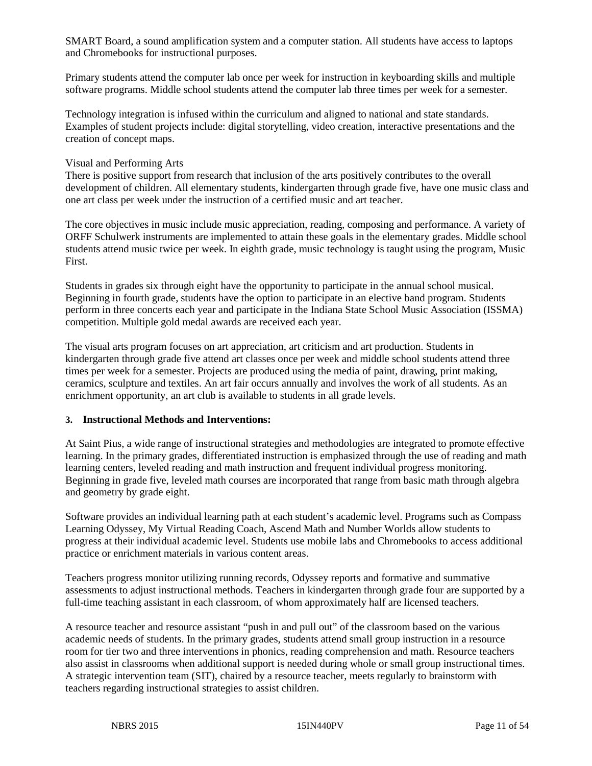SMART Board, a sound amplification system and a computer station. All students have access to laptops and Chromebooks for instructional purposes.

Primary students attend the computer lab once per week for instruction in keyboarding skills and multiple software programs. Middle school students attend the computer lab three times per week for a semester.

Technology integration is infused within the curriculum and aligned to national and state standards. Examples of student projects include: digital storytelling, video creation, interactive presentations and the creation of concept maps.

#### Visual and Performing Arts

There is positive support from research that inclusion of the arts positively contributes to the overall development of children. All elementary students, kindergarten through grade five, have one music class and one art class per week under the instruction of a certified music and art teacher.

The core objectives in music include music appreciation, reading, composing and performance. A variety of ORFF Schulwerk instruments are implemented to attain these goals in the elementary grades. Middle school students attend music twice per week. In eighth grade, music technology is taught using the program, Music First.

Students in grades six through eight have the opportunity to participate in the annual school musical. Beginning in fourth grade, students have the option to participate in an elective band program. Students perform in three concerts each year and participate in the Indiana State School Music Association (ISSMA) competition. Multiple gold medal awards are received each year.

The visual arts program focuses on art appreciation, art criticism and art production. Students in kindergarten through grade five attend art classes once per week and middle school students attend three times per week for a semester. Projects are produced using the media of paint, drawing, print making, ceramics, sculpture and textiles. An art fair occurs annually and involves the work of all students. As an enrichment opportunity, an art club is available to students in all grade levels.

#### **3. Instructional Methods and Interventions:**

At Saint Pius, a wide range of instructional strategies and methodologies are integrated to promote effective learning. In the primary grades, differentiated instruction is emphasized through the use of reading and math learning centers, leveled reading and math instruction and frequent individual progress monitoring. Beginning in grade five, leveled math courses are incorporated that range from basic math through algebra and geometry by grade eight.

Software provides an individual learning path at each student's academic level. Programs such as Compass Learning Odyssey, My Virtual Reading Coach, Ascend Math and Number Worlds allow students to progress at their individual academic level. Students use mobile labs and Chromebooks to access additional practice or enrichment materials in various content areas.

Teachers progress monitor utilizing running records, Odyssey reports and formative and summative assessments to adjust instructional methods. Teachers in kindergarten through grade four are supported by a full-time teaching assistant in each classroom, of whom approximately half are licensed teachers.

A resource teacher and resource assistant "push in and pull out" of the classroom based on the various academic needs of students. In the primary grades, students attend small group instruction in a resource room for tier two and three interventions in phonics, reading comprehension and math. Resource teachers also assist in classrooms when additional support is needed during whole or small group instructional times. A strategic intervention team (SIT), chaired by a resource teacher, meets regularly to brainstorm with teachers regarding instructional strategies to assist children.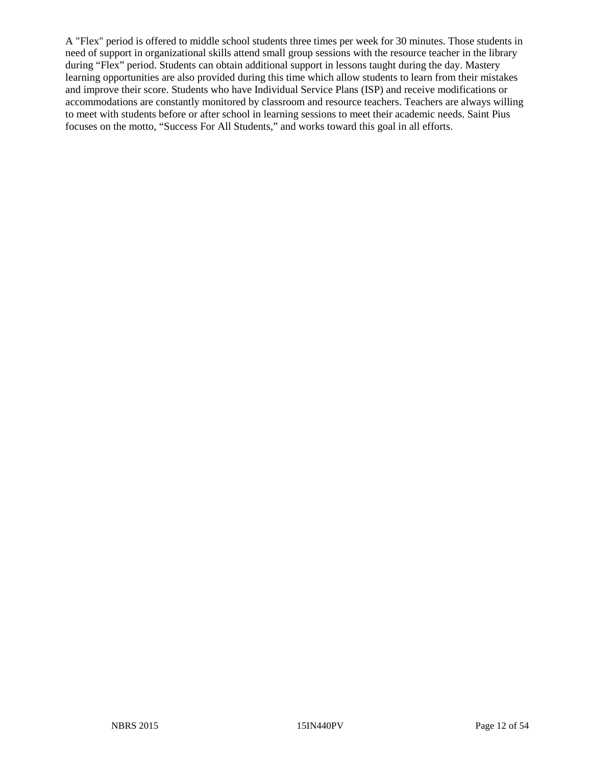A "Flex" period is offered to middle school students three times per week for 30 minutes. Those students in need of support in organizational skills attend small group sessions with the resource teacher in the library during "Flex" period. Students can obtain additional support in lessons taught during the day. Mastery learning opportunities are also provided during this time which allow students to learn from their mistakes and improve their score. Students who have Individual Service Plans (ISP) and receive modifications or accommodations are constantly monitored by classroom and resource teachers. Teachers are always willing to meet with students before or after school in learning sessions to meet their academic needs. Saint Pius focuses on the motto, "Success For All Students," and works toward this goal in all efforts.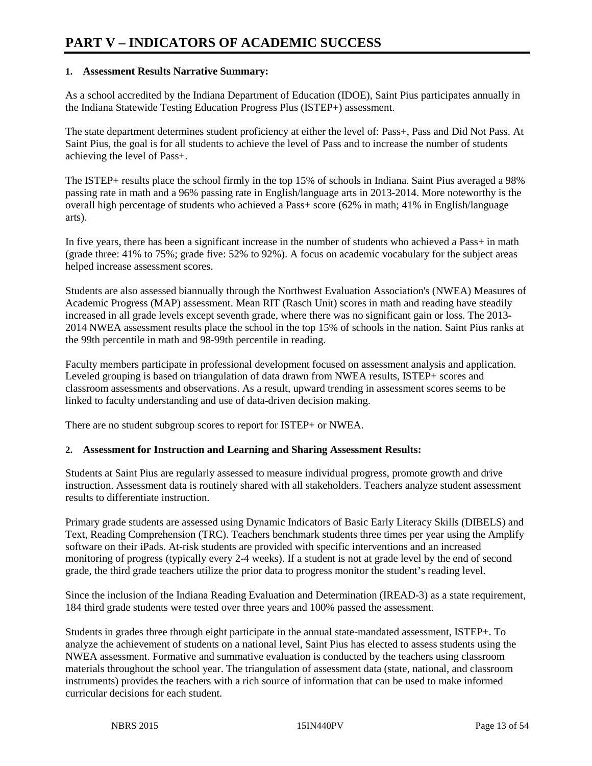#### **1. Assessment Results Narrative Summary:**

As a school accredited by the Indiana Department of Education (IDOE), Saint Pius participates annually in the Indiana Statewide Testing Education Progress Plus (ISTEP+) assessment.

The state department determines student proficiency at either the level of: Pass+, Pass and Did Not Pass. At Saint Pius, the goal is for all students to achieve the level of Pass and to increase the number of students achieving the level of Pass+.

The ISTEP+ results place the school firmly in the top 15% of schools in Indiana. Saint Pius averaged a 98% passing rate in math and a 96% passing rate in English/language arts in 2013-2014. More noteworthy is the overall high percentage of students who achieved a Pass+ score (62% in math; 41% in English/language arts).

In five years, there has been a significant increase in the number of students who achieved a Pass+ in math (grade three: 41% to 75%; grade five: 52% to 92%). A focus on academic vocabulary for the subject areas helped increase assessment scores.

Students are also assessed biannually through the Northwest Evaluation Association's (NWEA) Measures of Academic Progress (MAP) assessment. Mean RIT (Rasch Unit) scores in math and reading have steadily increased in all grade levels except seventh grade, where there was no significant gain or loss. The 2013- 2014 NWEA assessment results place the school in the top 15% of schools in the nation. Saint Pius ranks at the 99th percentile in math and 98-99th percentile in reading.

Faculty members participate in professional development focused on assessment analysis and application. Leveled grouping is based on triangulation of data drawn from NWEA results, ISTEP+ scores and classroom assessments and observations. As a result, upward trending in assessment scores seems to be linked to faculty understanding and use of data-driven decision making.

There are no student subgroup scores to report for ISTEP+ or NWEA.

#### **2. Assessment for Instruction and Learning and Sharing Assessment Results:**

Students at Saint Pius are regularly assessed to measure individual progress, promote growth and drive instruction. Assessment data is routinely shared with all stakeholders. Teachers analyze student assessment results to differentiate instruction.

Primary grade students are assessed using Dynamic Indicators of Basic Early Literacy Skills (DIBELS) and Text, Reading Comprehension (TRC). Teachers benchmark students three times per year using the Amplify software on their iPads. At-risk students are provided with specific interventions and an increased monitoring of progress (typically every 2-4 weeks). If a student is not at grade level by the end of second grade, the third grade teachers utilize the prior data to progress monitor the student's reading level.

Since the inclusion of the Indiana Reading Evaluation and Determination (IREAD-3) as a state requirement, 184 third grade students were tested over three years and 100% passed the assessment.

Students in grades three through eight participate in the annual state-mandated assessment, ISTEP+. To analyze the achievement of students on a national level, Saint Pius has elected to assess students using the NWEA assessment. Formative and summative evaluation is conducted by the teachers using classroom materials throughout the school year. The triangulation of assessment data (state, national, and classroom instruments) provides the teachers with a rich source of information that can be used to make informed curricular decisions for each student.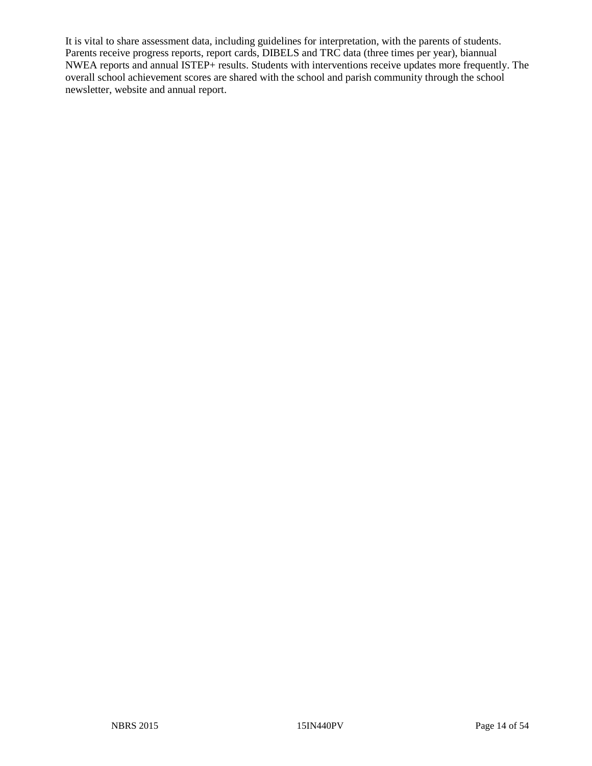It is vital to share assessment data, including guidelines for interpretation, with the parents of students. Parents receive progress reports, report cards, DIBELS and TRC data (three times per year), biannual NWEA reports and annual ISTEP+ results. Students with interventions receive updates more frequently. The overall school achievement scores are shared with the school and parish community through the school newsletter, website and annual report.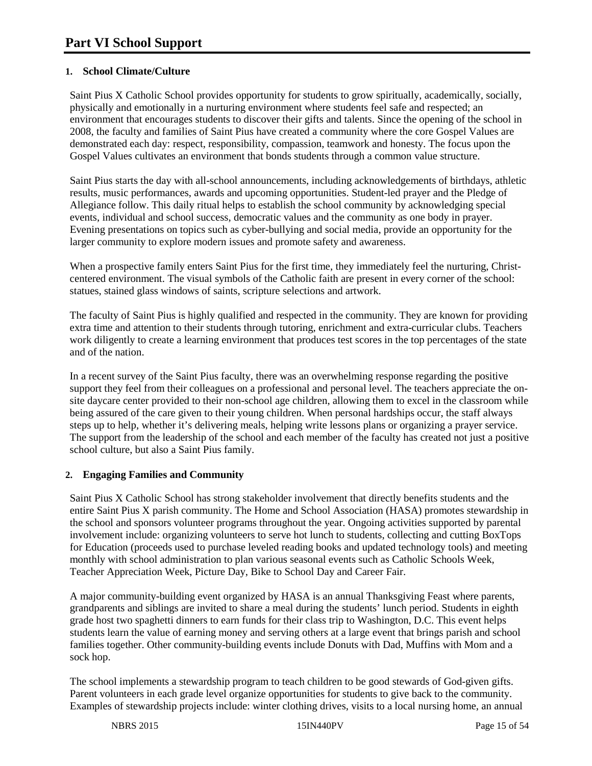#### **1. School Climate/Culture**

Saint Pius X Catholic School provides opportunity for students to grow spiritually, academically, socially, physically and emotionally in a nurturing environment where students feel safe and respected; an environment that encourages students to discover their gifts and talents. Since the opening of the school in 2008, the faculty and families of Saint Pius have created a community where the core Gospel Values are demonstrated each day: respect, responsibility, compassion, teamwork and honesty. The focus upon the Gospel Values cultivates an environment that bonds students through a common value structure.

Saint Pius starts the day with all-school announcements, including acknowledgements of birthdays, athletic results, music performances, awards and upcoming opportunities. Student-led prayer and the Pledge of Allegiance follow. This daily ritual helps to establish the school community by acknowledging special events, individual and school success, democratic values and the community as one body in prayer. Evening presentations on topics such as cyber-bullying and social media, provide an opportunity for the larger community to explore modern issues and promote safety and awareness.

When a prospective family enters Saint Pius for the first time, they immediately feel the nurturing, Christcentered environment. The visual symbols of the Catholic faith are present in every corner of the school: statues, stained glass windows of saints, scripture selections and artwork.

The faculty of Saint Pius is highly qualified and respected in the community. They are known for providing extra time and attention to their students through tutoring, enrichment and extra-curricular clubs. Teachers work diligently to create a learning environment that produces test scores in the top percentages of the state and of the nation.

In a recent survey of the Saint Pius faculty, there was an overwhelming response regarding the positive support they feel from their colleagues on a professional and personal level. The teachers appreciate the onsite daycare center provided to their non-school age children, allowing them to excel in the classroom while being assured of the care given to their young children. When personal hardships occur, the staff always steps up to help, whether it's delivering meals, helping write lessons plans or organizing a prayer service. The support from the leadership of the school and each member of the faculty has created not just a positive school culture, but also a Saint Pius family.

#### **2. Engaging Families and Community**

Saint Pius X Catholic School has strong stakeholder involvement that directly benefits students and the entire Saint Pius X parish community. The Home and School Association (HASA) promotes stewardship in the school and sponsors volunteer programs throughout the year. Ongoing activities supported by parental involvement include: organizing volunteers to serve hot lunch to students, collecting and cutting BoxTops for Education (proceeds used to purchase leveled reading books and updated technology tools) and meeting monthly with school administration to plan various seasonal events such as Catholic Schools Week, Teacher Appreciation Week, Picture Day, Bike to School Day and Career Fair.

A major community-building event organized by HASA is an annual Thanksgiving Feast where parents, grandparents and siblings are invited to share a meal during the students' lunch period. Students in eighth grade host two spaghetti dinners to earn funds for their class trip to Washington, D.C. This event helps students learn the value of earning money and serving others at a large event that brings parish and school families together. Other community-building events include Donuts with Dad, Muffins with Mom and a sock hop.

The school implements a stewardship program to teach children to be good stewards of God-given gifts. Parent volunteers in each grade level organize opportunities for students to give back to the community. Examples of stewardship projects include: winter clothing drives, visits to a local nursing home, an annual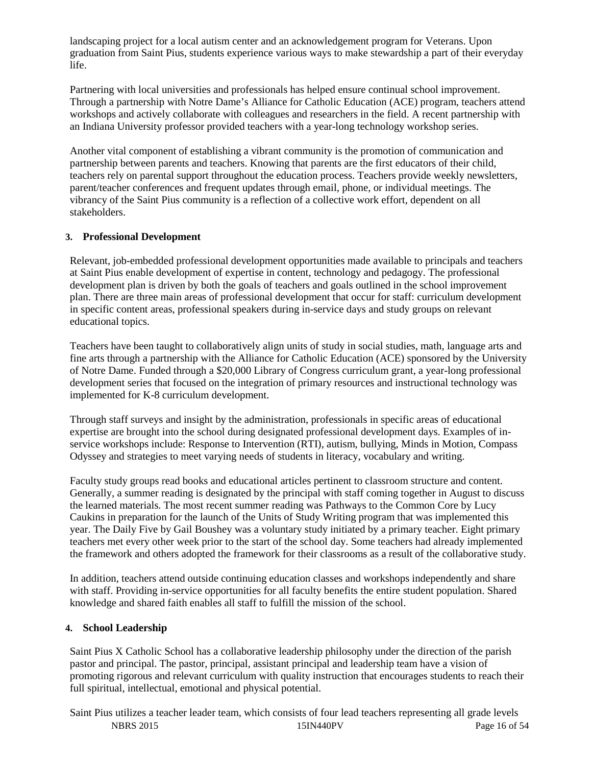landscaping project for a local autism center and an acknowledgement program for Veterans. Upon graduation from Saint Pius, students experience various ways to make stewardship a part of their everyday life.

Partnering with local universities and professionals has helped ensure continual school improvement. Through a partnership with Notre Dame's Alliance for Catholic Education (ACE) program, teachers attend workshops and actively collaborate with colleagues and researchers in the field. A recent partnership with an Indiana University professor provided teachers with a year-long technology workshop series.

Another vital component of establishing a vibrant community is the promotion of communication and partnership between parents and teachers. Knowing that parents are the first educators of their child, teachers rely on parental support throughout the education process. Teachers provide weekly newsletters, parent/teacher conferences and frequent updates through email, phone, or individual meetings. The vibrancy of the Saint Pius community is a reflection of a collective work effort, dependent on all stakeholders.

#### **3. Professional Development**

Relevant, job-embedded professional development opportunities made available to principals and teachers at Saint Pius enable development of expertise in content, technology and pedagogy. The professional development plan is driven by both the goals of teachers and goals outlined in the school improvement plan. There are three main areas of professional development that occur for staff: curriculum development in specific content areas, professional speakers during in-service days and study groups on relevant educational topics.

Teachers have been taught to collaboratively align units of study in social studies, math, language arts and fine arts through a partnership with the Alliance for Catholic Education (ACE) sponsored by the University of Notre Dame. Funded through a \$20,000 Library of Congress curriculum grant, a year-long professional development series that focused on the integration of primary resources and instructional technology was implemented for K-8 curriculum development.

Through staff surveys and insight by the administration, professionals in specific areas of educational expertise are brought into the school during designated professional development days. Examples of inservice workshops include: Response to Intervention (RTI), autism, bullying, Minds in Motion, Compass Odyssey and strategies to meet varying needs of students in literacy, vocabulary and writing.

Faculty study groups read books and educational articles pertinent to classroom structure and content. Generally, a summer reading is designated by the principal with staff coming together in August to discuss the learned materials. The most recent summer reading was Pathways to the Common Core by Lucy Caukins in preparation for the launch of the Units of Study Writing program that was implemented this year. The Daily Five by Gail Boushey was a voluntary study initiated by a primary teacher. Eight primary teachers met every other week prior to the start of the school day. Some teachers had already implemented the framework and others adopted the framework for their classrooms as a result of the collaborative study.

In addition, teachers attend outside continuing education classes and workshops independently and share with staff. Providing in-service opportunities for all faculty benefits the entire student population. Shared knowledge and shared faith enables all staff to fulfill the mission of the school.

#### **4. School Leadership**

Saint Pius X Catholic School has a collaborative leadership philosophy under the direction of the parish pastor and principal. The pastor, principal, assistant principal and leadership team have a vision of promoting rigorous and relevant curriculum with quality instruction that encourages students to reach their full spiritual, intellectual, emotional and physical potential.

NBRS 2015 15IN440PV Page 16 of 54 Saint Pius utilizes a teacher leader team, which consists of four lead teachers representing all grade levels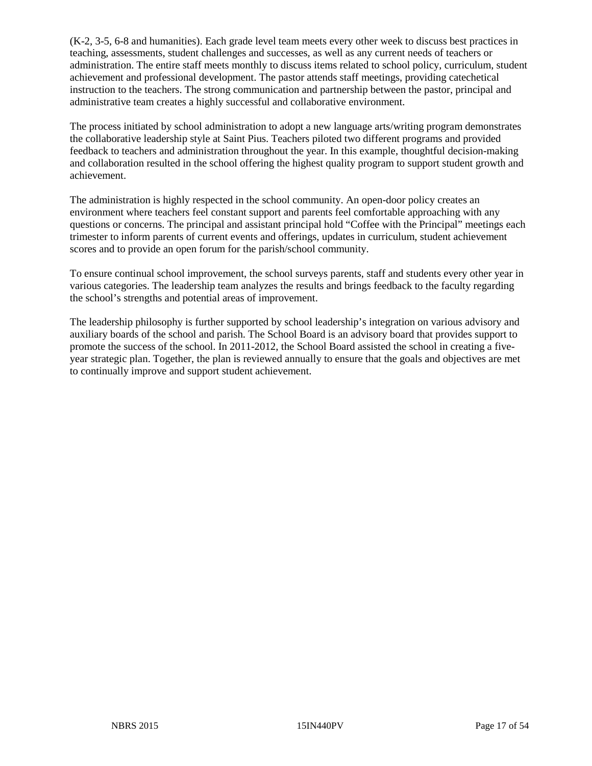(K-2, 3-5, 6-8 and humanities). Each grade level team meets every other week to discuss best practices in teaching, assessments, student challenges and successes, as well as any current needs of teachers or administration. The entire staff meets monthly to discuss items related to school policy, curriculum, student achievement and professional development. The pastor attends staff meetings, providing catechetical instruction to the teachers. The strong communication and partnership between the pastor, principal and administrative team creates a highly successful and collaborative environment.

The process initiated by school administration to adopt a new language arts/writing program demonstrates the collaborative leadership style at Saint Pius. Teachers piloted two different programs and provided feedback to teachers and administration throughout the year. In this example, thoughtful decision-making and collaboration resulted in the school offering the highest quality program to support student growth and achievement.

The administration is highly respected in the school community. An open-door policy creates an environment where teachers feel constant support and parents feel comfortable approaching with any questions or concerns. The principal and assistant principal hold "Coffee with the Principal" meetings each trimester to inform parents of current events and offerings, updates in curriculum, student achievement scores and to provide an open forum for the parish/school community.

To ensure continual school improvement, the school surveys parents, staff and students every other year in various categories. The leadership team analyzes the results and brings feedback to the faculty regarding the school's strengths and potential areas of improvement.

The leadership philosophy is further supported by school leadership's integration on various advisory and auxiliary boards of the school and parish. The School Board is an advisory board that provides support to promote the success of the school. In 2011-2012, the School Board assisted the school in creating a fiveyear strategic plan. Together, the plan is reviewed annually to ensure that the goals and objectives are met to continually improve and support student achievement.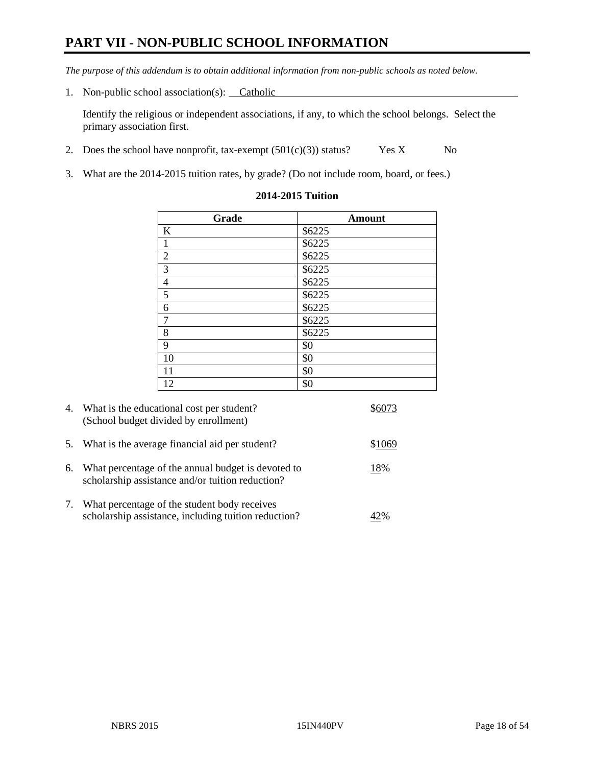# **PART VII - NON-PUBLIC SCHOOL INFORMATION**

*The purpose of this addendum is to obtain additional information from non-public schools as noted below.*

1. Non-public school association(s): Catholic

Identify the religious or independent associations, if any, to which the school belongs. Select the primary association first.

- 2. Does the school have nonprofit, tax-exempt  $(501(c)(3))$  status? Yes  $\underline{X}$  No
- 3. What are the 2014-2015 tuition rates, by grade? (Do not include room, board, or fees.)

| Grade            | <b>Amount</b> |
|------------------|---------------|
| K                | \$6225        |
| $\mathbf{1}$     | \$6225        |
| $\overline{2}$   | \$6225        |
| $\overline{3}$   | \$6225        |
| $\overline{4}$   | \$6225        |
| $\overline{5}$   | \$6225        |
| 6                | \$6225        |
| $\overline{7}$   | \$6225        |
| $\boldsymbol{8}$ | \$6225        |
| 9                | \$0           |
| 10               | \$0           |
| 11               | \$0           |
| 12               | \$0           |

#### **2014-2015 Tuition**

| 4. | What is the educational cost per student?<br>(School budget divided by enrollment)                     |        |
|----|--------------------------------------------------------------------------------------------------------|--------|
| 5. | What is the average financial aid per student?                                                         | \$1069 |
| 6. | What percentage of the annual budget is devoted to<br>scholarship assistance and/or tuition reduction? | 18%    |
| 7. | What percentage of the student body receives<br>scholarship assistance, including tuition reduction?   | 2%     |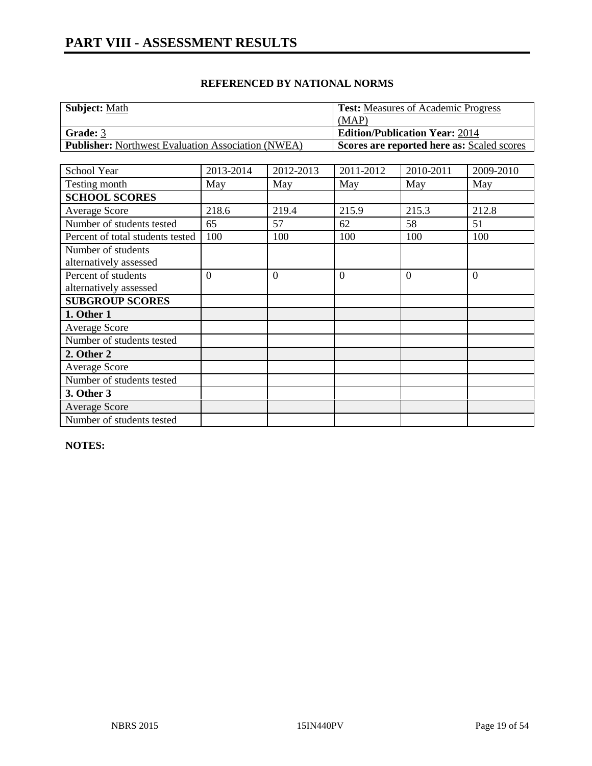| <b>Subject: Math</b>                                      | <b>Test:</b> Measures of Academic Progress |
|-----------------------------------------------------------|--------------------------------------------|
|                                                           | (MAP)                                      |
| Grade: 3                                                  | <b>Edition/Publication Year: 2014</b>      |
| <b>Publisher:</b> Northwest Evaluation Association (NWEA) | Scores are reported here as: Scaled scores |

| School Year                                   | 2013-2014      | 2012-2013      | 2011-2012      | 2010-2011 | 2009-2010 |
|-----------------------------------------------|----------------|----------------|----------------|-----------|-----------|
| Testing month                                 | May            | May            | May            | May       | May       |
| <b>SCHOOL SCORES</b>                          |                |                |                |           |           |
| <b>Average Score</b>                          | 218.6          | 219.4          | 215.9          | 215.3     | 212.8     |
| Number of students tested                     | 65             | 57             | 62             | 58        | 51        |
| Percent of total students tested              | 100            | 100            | 100            | 100       | 100       |
| Number of students<br>alternatively assessed  |                |                |                |           |           |
| Percent of students<br>alternatively assessed | $\overline{0}$ | $\overline{0}$ | $\overline{0}$ | $\Omega$  | $\theta$  |
| <b>SUBGROUP SCORES</b>                        |                |                |                |           |           |
| 1. Other 1                                    |                |                |                |           |           |
| <b>Average Score</b>                          |                |                |                |           |           |
| Number of students tested                     |                |                |                |           |           |
| 2. Other 2                                    |                |                |                |           |           |
| <b>Average Score</b>                          |                |                |                |           |           |
| Number of students tested                     |                |                |                |           |           |
| 3. Other 3                                    |                |                |                |           |           |
| <b>Average Score</b>                          |                |                |                |           |           |
| Number of students tested                     |                |                |                |           |           |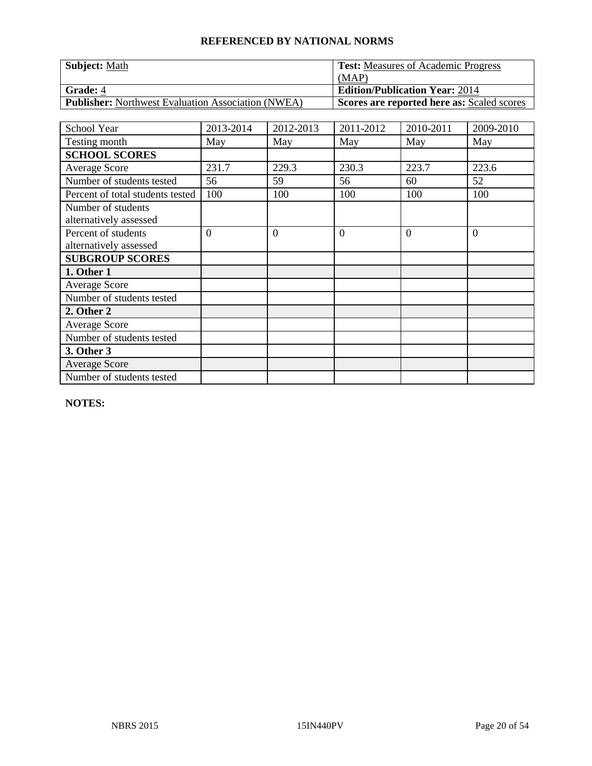| <b>Subject: Math</b>                                      | <b>Test:</b> Measures of Academic Progress        |
|-----------------------------------------------------------|---------------------------------------------------|
|                                                           | (MAP)                                             |
| Grade: 4                                                  | <b>Edition/Publication Year: 2014</b>             |
| <b>Publisher:</b> Northwest Evaluation Association (NWEA) | <b>Scores are reported here as: Scaled scores</b> |

| School Year                      | 2013-2014      | 2012-2013      | 2011-2012      | 2010-2011 | 2009-2010      |
|----------------------------------|----------------|----------------|----------------|-----------|----------------|
| Testing month                    | May            | May            | May            | May       | May            |
| <b>SCHOOL SCORES</b>             |                |                |                |           |                |
| Average Score                    | 231.7          | 229.3          | 230.3          | 223.7     | 223.6          |
| Number of students tested        | 56             | 59             | 56             | 60        | 52             |
| Percent of total students tested | 100            | 100            | 100            | 100       | 100            |
| Number of students               |                |                |                |           |                |
| alternatively assessed           |                |                |                |           |                |
| Percent of students              | $\overline{0}$ | $\overline{0}$ | $\overline{0}$ | $\Omega$  | $\overline{0}$ |
| alternatively assessed           |                |                |                |           |                |
| <b>SUBGROUP SCORES</b>           |                |                |                |           |                |
| 1. Other 1                       |                |                |                |           |                |
| <b>Average Score</b>             |                |                |                |           |                |
| Number of students tested        |                |                |                |           |                |
| 2. Other 2                       |                |                |                |           |                |
| <b>Average Score</b>             |                |                |                |           |                |
| Number of students tested        |                |                |                |           |                |
| 3. Other 3                       |                |                |                |           |                |
| <b>Average Score</b>             |                |                |                |           |                |
| Number of students tested        |                |                |                |           |                |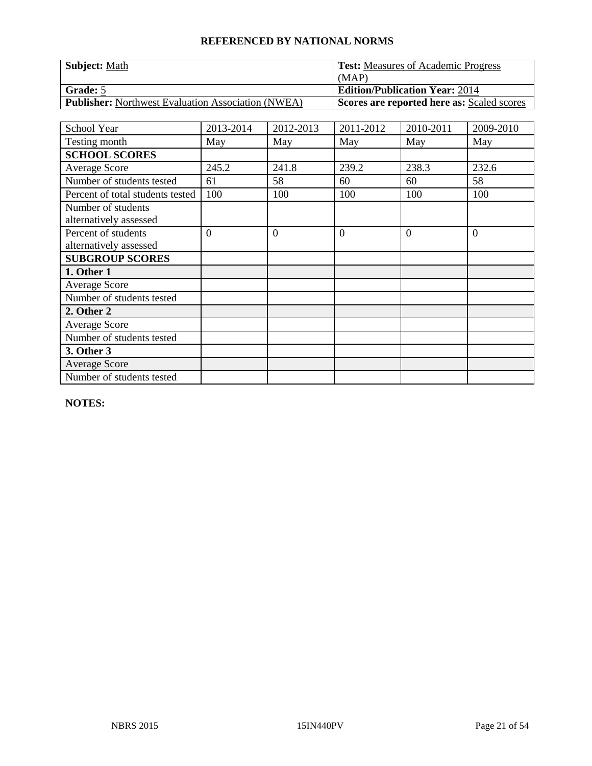| <b>Subject: Math</b>                                      | <b>Test:</b> Measures of Academic Progress        |
|-----------------------------------------------------------|---------------------------------------------------|
|                                                           | (MAP)                                             |
| Grade: 5                                                  | <b>Edition/Publication Year: 2014</b>             |
| <b>Publisher:</b> Northwest Evaluation Association (NWEA) | <b>Scores are reported here as: Scaled scores</b> |

| School Year                      | 2013-2014      | 2012-2013      | 2011-2012      | 2010-2011 | 2009-2010      |
|----------------------------------|----------------|----------------|----------------|-----------|----------------|
| Testing month                    | May            | May            | May            | May       | May            |
| <b>SCHOOL SCORES</b>             |                |                |                |           |                |
| Average Score                    | 245.2          | 241.8          | 239.2          | 238.3     | 232.6          |
| Number of students tested        | 61             | 58             | 60             | 60        | 58             |
| Percent of total students tested | 100            | 100            | 100            | 100       | 100            |
| Number of students               |                |                |                |           |                |
| alternatively assessed           |                |                |                |           |                |
| Percent of students              | $\overline{0}$ | $\overline{0}$ | $\overline{0}$ | $\theta$  | $\overline{0}$ |
| alternatively assessed           |                |                |                |           |                |
| <b>SUBGROUP SCORES</b>           |                |                |                |           |                |
| 1. Other 1                       |                |                |                |           |                |
| <b>Average Score</b>             |                |                |                |           |                |
| Number of students tested        |                |                |                |           |                |
| 2. Other 2                       |                |                |                |           |                |
| <b>Average Score</b>             |                |                |                |           |                |
| Number of students tested        |                |                |                |           |                |
| 3. Other 3                       |                |                |                |           |                |
| <b>Average Score</b>             |                |                |                |           |                |
| Number of students tested        |                |                |                |           |                |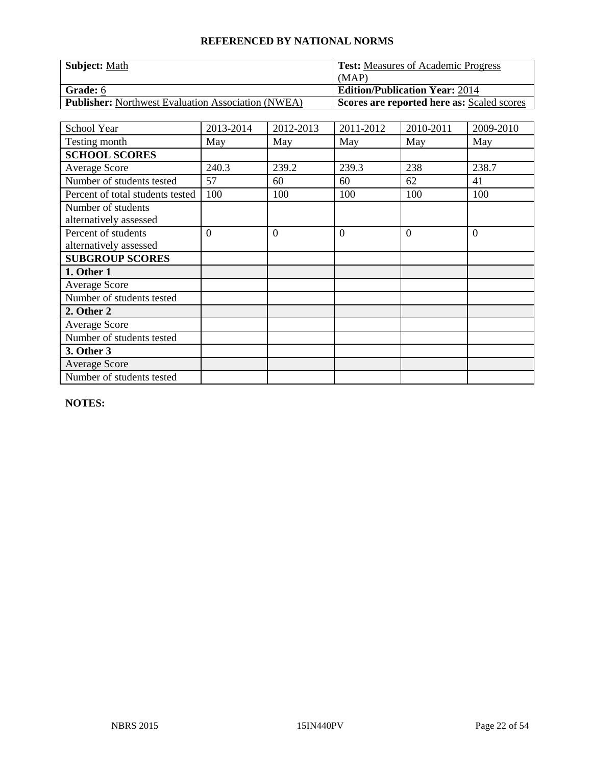| <b>Subject: Math</b>                                      | <b>Test:</b> Measures of Academic Progress        |
|-----------------------------------------------------------|---------------------------------------------------|
|                                                           | (MAP)                                             |
| Grade: 6                                                  | <b>Edition/Publication Year: 2014</b>             |
| <b>Publisher:</b> Northwest Evaluation Association (NWEA) | <b>Scores are reported here as: Scaled scores</b> |

| School Year                      | 2013-2014      | 2012-2013      | 2011-2012      | 2010-2011 | 2009-2010      |
|----------------------------------|----------------|----------------|----------------|-----------|----------------|
| Testing month                    | May            | May            | May            | May       | May            |
| <b>SCHOOL SCORES</b>             |                |                |                |           |                |
| Average Score                    | 240.3          | 239.2          | 239.3          | 238       | 238.7          |
| Number of students tested        | 57             | 60             | 60             | 62        | 41             |
| Percent of total students tested | 100            | 100            | 100            | 100       | 100            |
| Number of students               |                |                |                |           |                |
| alternatively assessed           |                |                |                |           |                |
| Percent of students              | $\overline{0}$ | $\overline{0}$ | $\overline{0}$ | $\theta$  | $\overline{0}$ |
| alternatively assessed           |                |                |                |           |                |
| <b>SUBGROUP SCORES</b>           |                |                |                |           |                |
| 1. Other 1                       |                |                |                |           |                |
| <b>Average Score</b>             |                |                |                |           |                |
| Number of students tested        |                |                |                |           |                |
| 2. Other 2                       |                |                |                |           |                |
| <b>Average Score</b>             |                |                |                |           |                |
| Number of students tested        |                |                |                |           |                |
| 3. Other 3                       |                |                |                |           |                |
| <b>Average Score</b>             |                |                |                |           |                |
| Number of students tested        |                |                |                |           |                |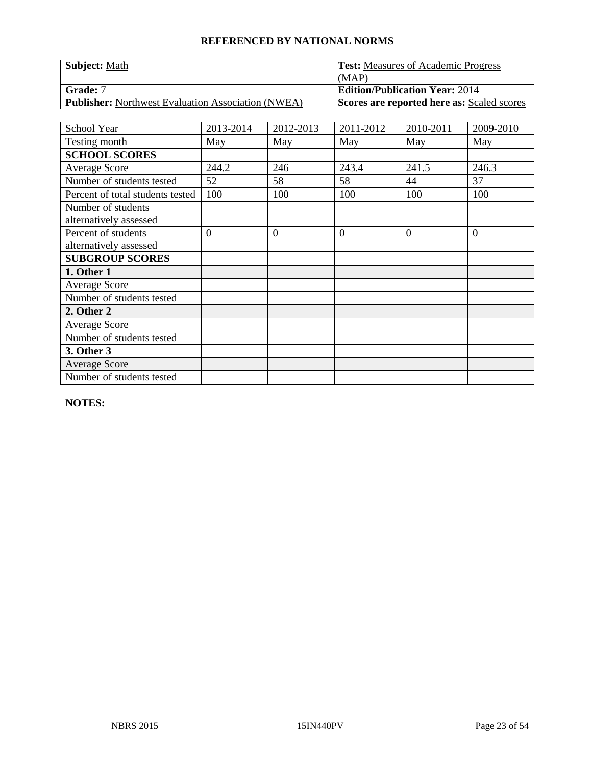| <b>Subject: Math</b>                                      | <b>Test:</b> Measures of Academic Progress        |
|-----------------------------------------------------------|---------------------------------------------------|
|                                                           | (MAP)                                             |
| Grade: 7                                                  | <b>Edition/Publication Year: 2014</b>             |
| <b>Publisher:</b> Northwest Evaluation Association (NWEA) | <b>Scores are reported here as: Scaled scores</b> |

| School Year                      | 2013-2014      | 2012-2013      | 2011-2012      | 2010-2011 | 2009-2010      |
|----------------------------------|----------------|----------------|----------------|-----------|----------------|
| Testing month                    | May            | May            | May            | May       | May            |
| <b>SCHOOL SCORES</b>             |                |                |                |           |                |
| Average Score                    | 244.2          | 246            | 243.4          | 241.5     | 246.3          |
| Number of students tested        | 52             | 58             | 58             | 44        | 37             |
| Percent of total students tested | 100            | 100            | 100            | 100       | 100            |
| Number of students               |                |                |                |           |                |
| alternatively assessed           |                |                |                |           |                |
| Percent of students              | $\overline{0}$ | $\overline{0}$ | $\overline{0}$ | $\Omega$  | $\overline{0}$ |
| alternatively assessed           |                |                |                |           |                |
| <b>SUBGROUP SCORES</b>           |                |                |                |           |                |
| 1. Other 1                       |                |                |                |           |                |
| <b>Average Score</b>             |                |                |                |           |                |
| Number of students tested        |                |                |                |           |                |
| 2. Other 2                       |                |                |                |           |                |
| <b>Average Score</b>             |                |                |                |           |                |
| Number of students tested        |                |                |                |           |                |
| 3. Other 3                       |                |                |                |           |                |
| <b>Average Score</b>             |                |                |                |           |                |
| Number of students tested        |                |                |                |           |                |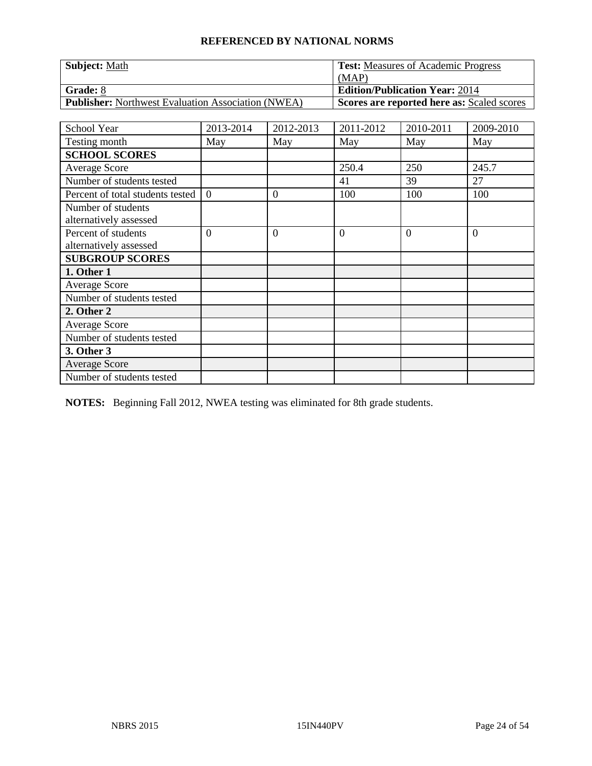| <b>Subject: Math</b>                                      | <b>Test:</b> Measures of Academic Progress        |
|-----------------------------------------------------------|---------------------------------------------------|
|                                                           | (MAP)                                             |
| Grade: 8                                                  | <b>Edition/Publication Year: 2014</b>             |
| <b>Publisher:</b> Northwest Evaluation Association (NWEA) | <b>Scores are reported here as: Scaled scores</b> |

| School Year                      | 2013-2014 | 2012-2013 | 2011-2012 | 2010-2011 | 2009-2010 |
|----------------------------------|-----------|-----------|-----------|-----------|-----------|
| Testing month                    | May       | May       | May       | May       | May       |
| <b>SCHOOL SCORES</b>             |           |           |           |           |           |
| <b>Average Score</b>             |           |           | 250.4     | 250       | 245.7     |
| Number of students tested        |           |           | 41        | 39        | 27        |
| Percent of total students tested | $\theta$  | $\theta$  | 100       | 100       | 100       |
| Number of students               |           |           |           |           |           |
| alternatively assessed           |           |           |           |           |           |
| Percent of students              | $\theta$  | $\Omega$  | $\theta$  | $\theta$  | $\theta$  |
| alternatively assessed           |           |           |           |           |           |
| <b>SUBGROUP SCORES</b>           |           |           |           |           |           |
| 1. Other 1                       |           |           |           |           |           |
| <b>Average Score</b>             |           |           |           |           |           |
| Number of students tested        |           |           |           |           |           |
| 2. Other 2                       |           |           |           |           |           |
| <b>Average Score</b>             |           |           |           |           |           |
| Number of students tested        |           |           |           |           |           |
| 3. Other 3                       |           |           |           |           |           |
| <b>Average Score</b>             |           |           |           |           |           |
| Number of students tested        |           |           |           |           |           |

**NOTES:** Beginning Fall 2012, NWEA testing was eliminated for 8th grade students.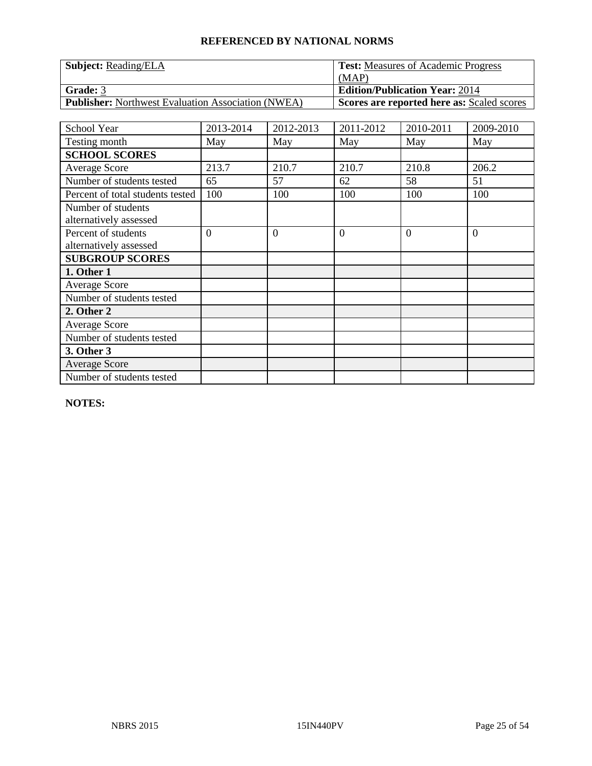| <b>Subject:</b> Reading/ELA                               | <b>Test:</b> Measures of Academic Progress        |
|-----------------------------------------------------------|---------------------------------------------------|
|                                                           | (MAP)                                             |
| Grade: 3                                                  | <b>Edition/Publication Year: 2014</b>             |
| <b>Publisher:</b> Northwest Evaluation Association (NWEA) | <b>Scores are reported here as: Scaled scores</b> |

| School Year                      | 2013-2014 | 2012-2013      | 2011-2012 | 2010-2011 | 2009-2010 |
|----------------------------------|-----------|----------------|-----------|-----------|-----------|
| Testing month                    | May       | May            | May       | May       | May       |
| <b>SCHOOL SCORES</b>             |           |                |           |           |           |
| <b>Average Score</b>             | 213.7     | 210.7          | 210.7     | 210.8     | 206.2     |
| Number of students tested        | 65        | 57             | 62        | 58        | 51        |
| Percent of total students tested | 100       | 100            | 100       | 100       | 100       |
| Number of students               |           |                |           |           |           |
| alternatively assessed           |           |                |           |           |           |
| Percent of students              | $\Omega$  | $\overline{0}$ | $\theta$  | $\Omega$  | $\theta$  |
| alternatively assessed           |           |                |           |           |           |
| <b>SUBGROUP SCORES</b>           |           |                |           |           |           |
| 1. Other 1                       |           |                |           |           |           |
| <b>Average Score</b>             |           |                |           |           |           |
| Number of students tested        |           |                |           |           |           |
| 2. Other 2                       |           |                |           |           |           |
| <b>Average Score</b>             |           |                |           |           |           |
| Number of students tested        |           |                |           |           |           |
| 3. Other 3                       |           |                |           |           |           |
| <b>Average Score</b>             |           |                |           |           |           |
| Number of students tested        |           |                |           |           |           |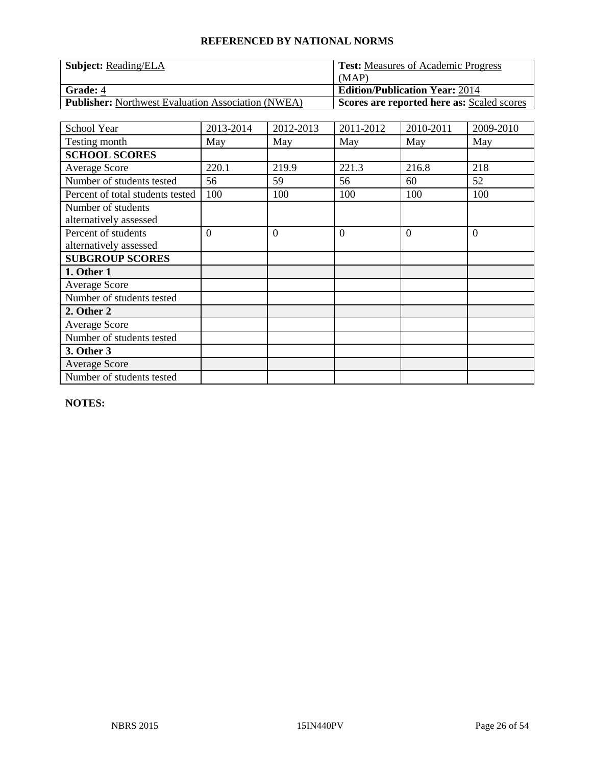| <b>Subject:</b> Reading/ELA                               | <b>Test:</b> Measures of Academic Progress        |
|-----------------------------------------------------------|---------------------------------------------------|
|                                                           | (MAP)                                             |
| Grade: 4                                                  | <b>Edition/Publication Year: 2014</b>             |
| <b>Publisher:</b> Northwest Evaluation Association (NWEA) | <b>Scores are reported here as: Scaled scores</b> |

| School Year                      | 2013-2014 | 2012-2013      | 2011-2012 | 2010-2011 | 2009-2010 |
|----------------------------------|-----------|----------------|-----------|-----------|-----------|
| Testing month                    | May       | May            | May       | May       | May       |
| <b>SCHOOL SCORES</b>             |           |                |           |           |           |
| <b>Average Score</b>             | 220.1     | 219.9          | 221.3     | 216.8     | 218       |
| Number of students tested        | 56        | 59             | 56        | 60        | 52        |
| Percent of total students tested | 100       | 100            | 100       | 100       | 100       |
| Number of students               |           |                |           |           |           |
| alternatively assessed           |           |                |           |           |           |
| Percent of students              | $\Omega$  | $\overline{0}$ | $\theta$  | $\theta$  | $\theta$  |
| alternatively assessed           |           |                |           |           |           |
| <b>SUBGROUP SCORES</b>           |           |                |           |           |           |
| 1. Other 1                       |           |                |           |           |           |
| <b>Average Score</b>             |           |                |           |           |           |
| Number of students tested        |           |                |           |           |           |
| 2. Other 2                       |           |                |           |           |           |
| <b>Average Score</b>             |           |                |           |           |           |
| Number of students tested        |           |                |           |           |           |
| 3. Other 3                       |           |                |           |           |           |
| <b>Average Score</b>             |           |                |           |           |           |
| Number of students tested        |           |                |           |           |           |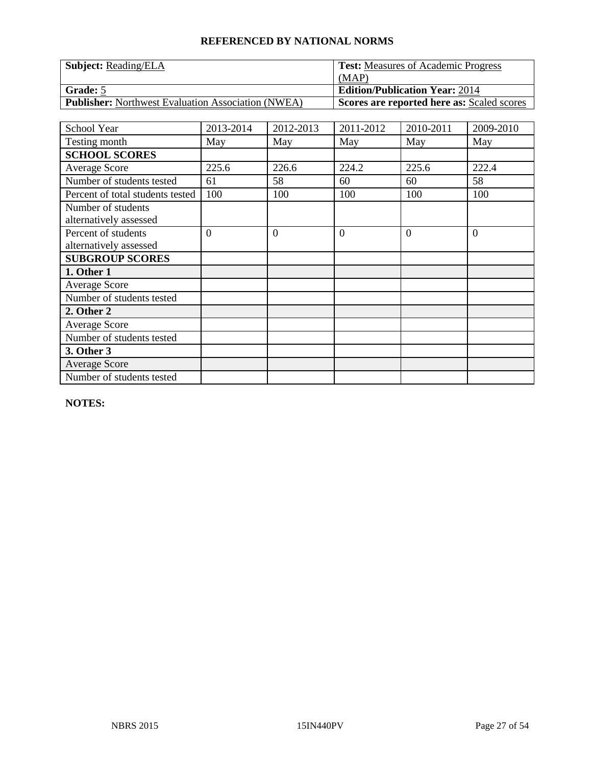| <b>Subject:</b> Reading/ELA                               | <b>Test:</b> Measures of Academic Progress        |  |  |
|-----------------------------------------------------------|---------------------------------------------------|--|--|
|                                                           | (MAP)                                             |  |  |
| <b>Grade:</b> 5                                           | <b>Edition/Publication Year: 2014</b>             |  |  |
| <b>Publisher:</b> Northwest Evaluation Association (NWEA) | <b>Scores are reported here as: Scaled scores</b> |  |  |

| School Year                      | 2013-2014      | 2012-2013      | 2011-2012      | 2010-2011 | 2009-2010      |
|----------------------------------|----------------|----------------|----------------|-----------|----------------|
| Testing month                    | May            | May            | May            | May       | May            |
| <b>SCHOOL SCORES</b>             |                |                |                |           |                |
| <b>Average Score</b>             | 225.6          | 226.6          | 224.2          | 225.6     | 222.4          |
| Number of students tested        | 61             | 58             | 60             | 60        | 58             |
| Percent of total students tested | 100            | 100            | 100            | 100       | 100            |
| Number of students               |                |                |                |           |                |
| alternatively assessed           |                |                |                |           |                |
| Percent of students              | $\overline{0}$ | $\overline{0}$ | $\overline{0}$ | $\theta$  | $\overline{0}$ |
| alternatively assessed           |                |                |                |           |                |
| <b>SUBGROUP SCORES</b>           |                |                |                |           |                |
| 1. Other 1                       |                |                |                |           |                |
| <b>Average Score</b>             |                |                |                |           |                |
| Number of students tested        |                |                |                |           |                |
| 2. Other 2                       |                |                |                |           |                |
| <b>Average Score</b>             |                |                |                |           |                |
| Number of students tested        |                |                |                |           |                |
| 3. Other 3                       |                |                |                |           |                |
| <b>Average Score</b>             |                |                |                |           |                |
| Number of students tested        |                |                |                |           |                |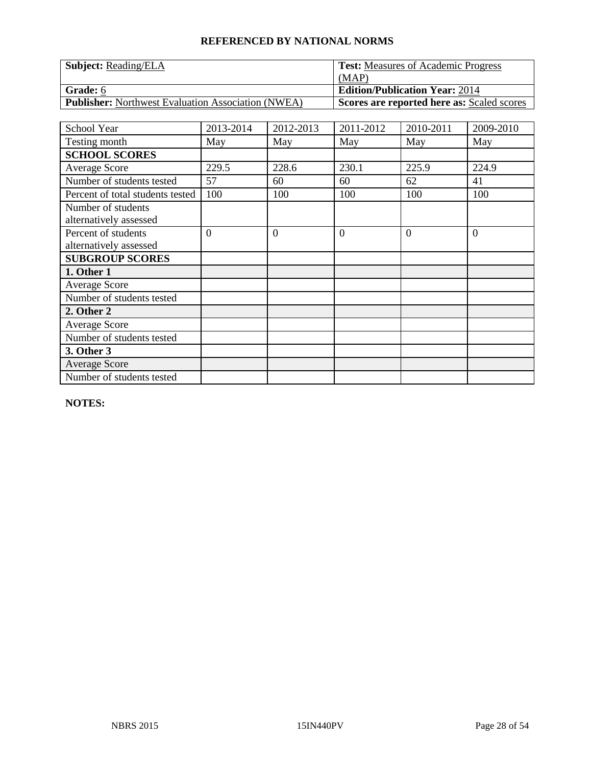| <b>Subject:</b> Reading/ELA                               | <b>Test:</b> Measures of Academic Progress        |
|-----------------------------------------------------------|---------------------------------------------------|
|                                                           | (MAP)                                             |
| Grade: 6                                                  | <b>Edition/Publication Year: 2014</b>             |
| <b>Publisher:</b> Northwest Evaluation Association (NWEA) | <b>Scores are reported here as: Scaled scores</b> |

| School Year                      | 2013-2014 | 2012-2013      | 2011-2012 | 2010-2011 | 2009-2010 |
|----------------------------------|-----------|----------------|-----------|-----------|-----------|
| Testing month                    | May       | May            | May       | May       | May       |
| <b>SCHOOL SCORES</b>             |           |                |           |           |           |
| <b>Average Score</b>             | 229.5     | 228.6          | 230.1     | 225.9     | 224.9     |
| Number of students tested        | 57        | 60             | 60        | 62        | 41        |
| Percent of total students tested | 100       | 100            | 100       | 100       | 100       |
| Number of students               |           |                |           |           |           |
| alternatively assessed           |           |                |           |           |           |
| Percent of students              | $\Omega$  | $\overline{0}$ | $\theta$  | $\theta$  | $\theta$  |
| alternatively assessed           |           |                |           |           |           |
| <b>SUBGROUP SCORES</b>           |           |                |           |           |           |
| 1. Other 1                       |           |                |           |           |           |
| <b>Average Score</b>             |           |                |           |           |           |
| Number of students tested        |           |                |           |           |           |
| 2. Other 2                       |           |                |           |           |           |
| <b>Average Score</b>             |           |                |           |           |           |
| Number of students tested        |           |                |           |           |           |
| 3. Other 3                       |           |                |           |           |           |
| <b>Average Score</b>             |           |                |           |           |           |
| Number of students tested        |           |                |           |           |           |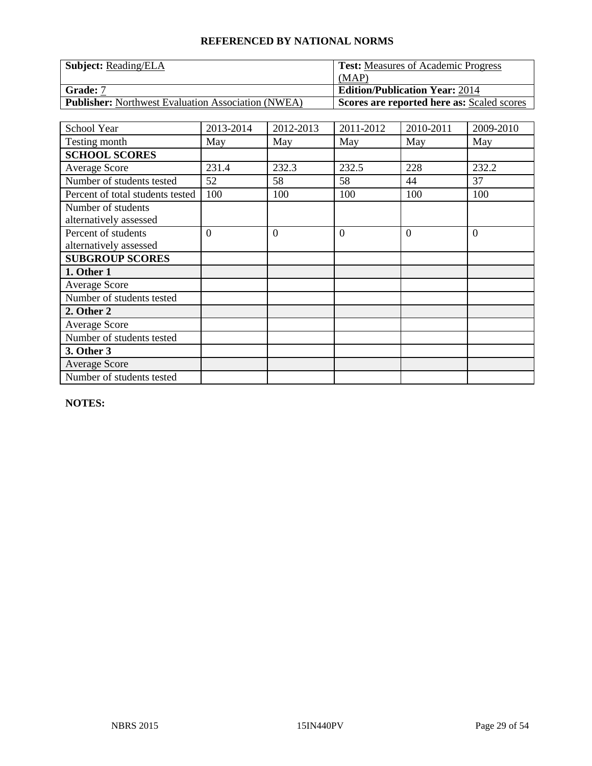| <b>Subject:</b> Reading/ELA                               | <b>Test:</b> Measures of Academic Progress        |  |  |
|-----------------------------------------------------------|---------------------------------------------------|--|--|
|                                                           | (MAP)                                             |  |  |
| Grade: 7                                                  | <b>Edition/Publication Year: 2014</b>             |  |  |
| <b>Publisher:</b> Northwest Evaluation Association (NWEA) | <b>Scores are reported here as: Scaled scores</b> |  |  |

| School Year                      | 2013-2014 | 2012-2013      | 2011-2012 | 2010-2011 | 2009-2010 |
|----------------------------------|-----------|----------------|-----------|-----------|-----------|
| Testing month                    | May       | May            | May       | May       | May       |
| <b>SCHOOL SCORES</b>             |           |                |           |           |           |
| <b>Average Score</b>             | 231.4     | 232.3          | 232.5     | 228       | 232.2     |
| Number of students tested        | 52        | 58             | 58        | 44        | 37        |
| Percent of total students tested | 100       | 100            | 100       | 100       | 100       |
| Number of students               |           |                |           |           |           |
| alternatively assessed           |           |                |           |           |           |
| Percent of students              | $\Omega$  | $\overline{0}$ | $\theta$  | $\Omega$  | $\theta$  |
| alternatively assessed           |           |                |           |           |           |
| <b>SUBGROUP SCORES</b>           |           |                |           |           |           |
| 1. Other 1                       |           |                |           |           |           |
| <b>Average Score</b>             |           |                |           |           |           |
| Number of students tested        |           |                |           |           |           |
| 2. Other 2                       |           |                |           |           |           |
| <b>Average Score</b>             |           |                |           |           |           |
| Number of students tested        |           |                |           |           |           |
| 3. Other 3                       |           |                |           |           |           |
| <b>Average Score</b>             |           |                |           |           |           |
| Number of students tested        |           |                |           |           |           |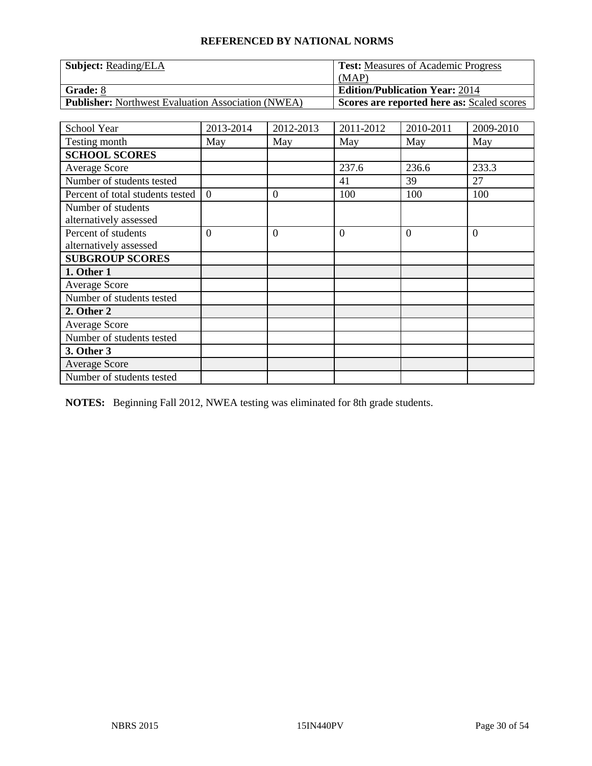| <b>Subject:</b> Reading/ELA                               | <b>Test:</b> Measures of Academic Progress        |  |  |
|-----------------------------------------------------------|---------------------------------------------------|--|--|
|                                                           | (MAP)                                             |  |  |
| <b>Grade: 8</b>                                           | <b>Edition/Publication Year: 2014</b>             |  |  |
| <b>Publisher:</b> Northwest Evaluation Association (NWEA) | <b>Scores are reported here as: Scaled scores</b> |  |  |

| School Year                      | 2013-2014 | 2012-2013 | 2011-2012 | 2010-2011 | 2009-2010 |
|----------------------------------|-----------|-----------|-----------|-----------|-----------|
| Testing month                    | May       | May       | May       | May       | May       |
| <b>SCHOOL SCORES</b>             |           |           |           |           |           |
| <b>Average Score</b>             |           |           | 237.6     | 236.6     | 233.3     |
| Number of students tested        |           |           | 41        | 39        | 27        |
| Percent of total students tested | $\theta$  | $\theta$  | 100       | 100       | 100       |
| Number of students               |           |           |           |           |           |
| alternatively assessed           |           |           |           |           |           |
| Percent of students              | $\theta$  | $\Omega$  | $\theta$  | $\theta$  | $\theta$  |
| alternatively assessed           |           |           |           |           |           |
| <b>SUBGROUP SCORES</b>           |           |           |           |           |           |
| 1. Other 1                       |           |           |           |           |           |
| <b>Average Score</b>             |           |           |           |           |           |
| Number of students tested        |           |           |           |           |           |
| 2. Other 2                       |           |           |           |           |           |
| <b>Average Score</b>             |           |           |           |           |           |
| Number of students tested        |           |           |           |           |           |
| 3. Other 3                       |           |           |           |           |           |
| <b>Average Score</b>             |           |           |           |           |           |
| Number of students tested        |           |           |           |           |           |

**NOTES:** Beginning Fall 2012, NWEA testing was eliminated for 8th grade students.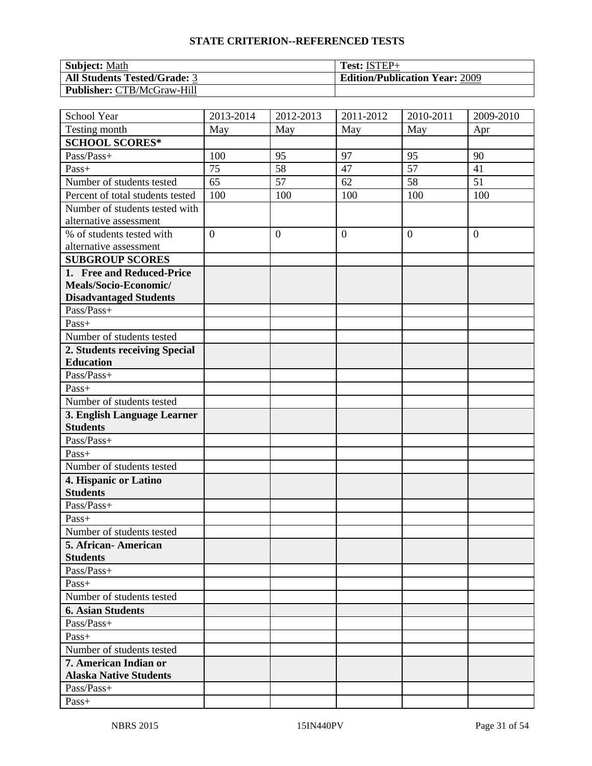| <b>Subject: Math</b>                | $\mathsf{Test}\text{: } \mathsf{ISTEP} +$ |
|-------------------------------------|-------------------------------------------|
| <b>All Students Tested/Grade: 3</b> | <b>Edition/Publication Year: 2009</b>     |
| <b>Publisher: CTB/McGraw-Hill</b>   |                                           |

| School Year                      | 2013-2014       | 2012-2013       | 2011-2012        | 2010-2011        | 2009-2010        |
|----------------------------------|-----------------|-----------------|------------------|------------------|------------------|
| Testing month                    | May             | May             | May              | May              | Apr              |
| <b>SCHOOL SCORES*</b>            |                 |                 |                  |                  |                  |
| Pass/Pass+                       | 100             | 95              | 97               | 95               | 90               |
| Pass+                            | 75              | 58              | 47               | 57               | 41               |
| Number of students tested        | $\overline{65}$ | $\overline{57}$ | 62               | 58               | $\overline{51}$  |
| Percent of total students tested | 100             | 100             | 100              | 100              | 100              |
| Number of students tested with   |                 |                 |                  |                  |                  |
| alternative assessment           |                 |                 |                  |                  |                  |
| % of students tested with        | $\overline{0}$  | $\mathbf{0}$    | $\boldsymbol{0}$ | $\boldsymbol{0}$ | $\boldsymbol{0}$ |
| alternative assessment           |                 |                 |                  |                  |                  |
| <b>SUBGROUP SCORES</b>           |                 |                 |                  |                  |                  |
| 1. Free and Reduced-Price        |                 |                 |                  |                  |                  |
| Meals/Socio-Economic/            |                 |                 |                  |                  |                  |
| <b>Disadvantaged Students</b>    |                 |                 |                  |                  |                  |
| Pass/Pass+                       |                 |                 |                  |                  |                  |
| Pass+                            |                 |                 |                  |                  |                  |
| Number of students tested        |                 |                 |                  |                  |                  |
| 2. Students receiving Special    |                 |                 |                  |                  |                  |
| <b>Education</b>                 |                 |                 |                  |                  |                  |
| Pass/Pass+                       |                 |                 |                  |                  |                  |
| Pass+                            |                 |                 |                  |                  |                  |
| Number of students tested        |                 |                 |                  |                  |                  |
| 3. English Language Learner      |                 |                 |                  |                  |                  |
| <b>Students</b>                  |                 |                 |                  |                  |                  |
| Pass/Pass+                       |                 |                 |                  |                  |                  |
| Pass+                            |                 |                 |                  |                  |                  |
| Number of students tested        |                 |                 |                  |                  |                  |
| 4. Hispanic or Latino            |                 |                 |                  |                  |                  |
| <b>Students</b>                  |                 |                 |                  |                  |                  |
| Pass/Pass+                       |                 |                 |                  |                  |                  |
| Pass+                            |                 |                 |                  |                  |                  |
| Number of students tested        |                 |                 |                  |                  |                  |
| 5. African-American              |                 |                 |                  |                  |                  |
| <b>Students</b>                  |                 |                 |                  |                  |                  |
| Pass/Pass+                       |                 |                 |                  |                  |                  |
| Pass+                            |                 |                 |                  |                  |                  |
| Number of students tested        |                 |                 |                  |                  |                  |
| <b>6. Asian Students</b>         |                 |                 |                  |                  |                  |
| Pass/Pass+                       |                 |                 |                  |                  |                  |
| $Pass+$                          |                 |                 |                  |                  |                  |
| Number of students tested        |                 |                 |                  |                  |                  |
| 7. American Indian or            |                 |                 |                  |                  |                  |
| <b>Alaska Native Students</b>    |                 |                 |                  |                  |                  |
| Pass/Pass+                       |                 |                 |                  |                  |                  |
| Pass+                            |                 |                 |                  |                  |                  |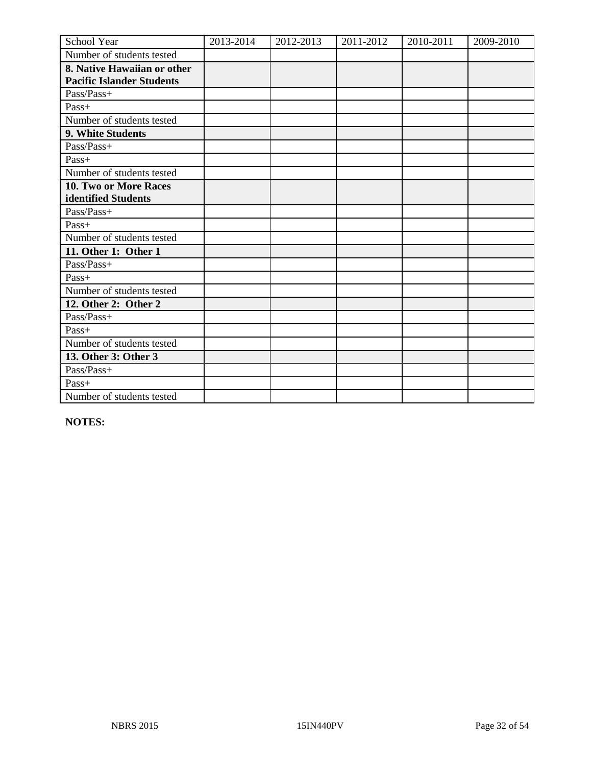| School Year                      | 2013-2014 | 2012-2013 | 2011-2012 | 2010-2011 | 2009-2010 |
|----------------------------------|-----------|-----------|-----------|-----------|-----------|
| Number of students tested        |           |           |           |           |           |
| 8. Native Hawaiian or other      |           |           |           |           |           |
| <b>Pacific Islander Students</b> |           |           |           |           |           |
| Pass/Pass+                       |           |           |           |           |           |
| Pass+                            |           |           |           |           |           |
| Number of students tested        |           |           |           |           |           |
| 9. White Students                |           |           |           |           |           |
| Pass/Pass+                       |           |           |           |           |           |
| Pass+                            |           |           |           |           |           |
| Number of students tested        |           |           |           |           |           |
| 10. Two or More Races            |           |           |           |           |           |
| identified Students              |           |           |           |           |           |
| Pass/Pass+                       |           |           |           |           |           |
| Pass+                            |           |           |           |           |           |
| Number of students tested        |           |           |           |           |           |
| 11. Other 1: Other 1             |           |           |           |           |           |
| Pass/Pass+                       |           |           |           |           |           |
| Pass+                            |           |           |           |           |           |
| Number of students tested        |           |           |           |           |           |
| 12. Other 2: Other 2             |           |           |           |           |           |
| Pass/Pass+                       |           |           |           |           |           |
| $Pass+$                          |           |           |           |           |           |
| Number of students tested        |           |           |           |           |           |
| 13. Other 3: Other 3             |           |           |           |           |           |
| Pass/Pass+                       |           |           |           |           |           |
| Pass+                            |           |           |           |           |           |
| Number of students tested        |           |           |           |           |           |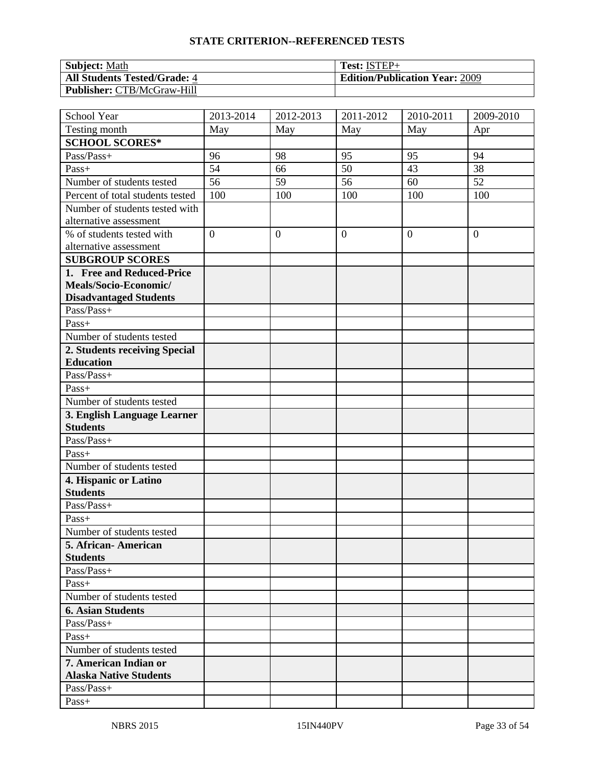| <b>Subject:</b> Math                | Test: ISTEP+                          |
|-------------------------------------|---------------------------------------|
| <b>All Students Tested/Grade: 4</b> | <b>Edition/Publication Year: 2009</b> |
| <b>Publisher: CTB/McGraw-Hill</b>   |                                       |

| School Year                                            | 2013-2014       | 2012-2013      | $\overline{20}11 - 2012$ | 2010-2011      | 2009-2010      |
|--------------------------------------------------------|-----------------|----------------|--------------------------|----------------|----------------|
| Testing month                                          | May             | May            | May                      | May            | Apr            |
| <b>SCHOOL SCORES*</b>                                  |                 |                |                          |                |                |
| Pass/Pass+                                             | 96              | 98             | 95                       | 95             | 94             |
| Pass+                                                  | 54              | 66             | 50                       | 43             | 38             |
| Number of students tested                              | $\overline{56}$ | 59             | 56                       | 60             | 52             |
| Percent of total students tested                       | 100             | 100            | 100                      | 100            | 100            |
| Number of students tested with                         |                 |                |                          |                |                |
| alternative assessment                                 |                 |                |                          |                |                |
| % of students tested with                              | $\overline{0}$  | $\overline{0}$ | $\overline{0}$           | $\overline{0}$ | $\overline{0}$ |
| alternative assessment                                 |                 |                |                          |                |                |
| <b>SUBGROUP SCORES</b>                                 |                 |                |                          |                |                |
| 1. Free and Reduced-Price                              |                 |                |                          |                |                |
| Meals/Socio-Economic/                                  |                 |                |                          |                |                |
| <b>Disadvantaged Students</b>                          |                 |                |                          |                |                |
| Pass/Pass+                                             |                 |                |                          |                |                |
| Pass+                                                  |                 |                |                          |                |                |
| Number of students tested                              |                 |                |                          |                |                |
| 2. Students receiving Special                          |                 |                |                          |                |                |
| <b>Education</b>                                       |                 |                |                          |                |                |
| Pass/Pass+                                             |                 |                |                          |                |                |
| Pass+                                                  |                 |                |                          |                |                |
| Number of students tested                              |                 |                |                          |                |                |
| 3. English Language Learner                            |                 |                |                          |                |                |
| <b>Students</b>                                        |                 |                |                          |                |                |
| Pass/Pass+                                             |                 |                |                          |                |                |
| Pass+                                                  |                 |                |                          |                |                |
| Number of students tested                              |                 |                |                          |                |                |
| 4. Hispanic or Latino                                  |                 |                |                          |                |                |
| <b>Students</b>                                        |                 |                |                          |                |                |
| Pass/Pass+                                             |                 |                |                          |                |                |
| Pass+                                                  |                 |                |                          |                |                |
| Number of students tested                              |                 |                |                          |                |                |
| 5. African- American                                   |                 |                |                          |                |                |
| <b>Students</b>                                        |                 |                |                          |                |                |
| Pass/Pass+                                             |                 |                |                          |                |                |
| $Pass+$                                                |                 |                |                          |                |                |
| Number of students tested                              |                 |                |                          |                |                |
| <b>6. Asian Students</b>                               |                 |                |                          |                |                |
| Pass/Pass+                                             |                 |                |                          |                |                |
| Pass+                                                  |                 |                |                          |                |                |
| Number of students tested                              |                 |                |                          |                |                |
| 7. American Indian or<br><b>Alaska Native Students</b> |                 |                |                          |                |                |
| Pass/Pass+                                             |                 |                |                          |                |                |
|                                                        |                 |                |                          |                |                |
| Pass+                                                  |                 |                |                          |                |                |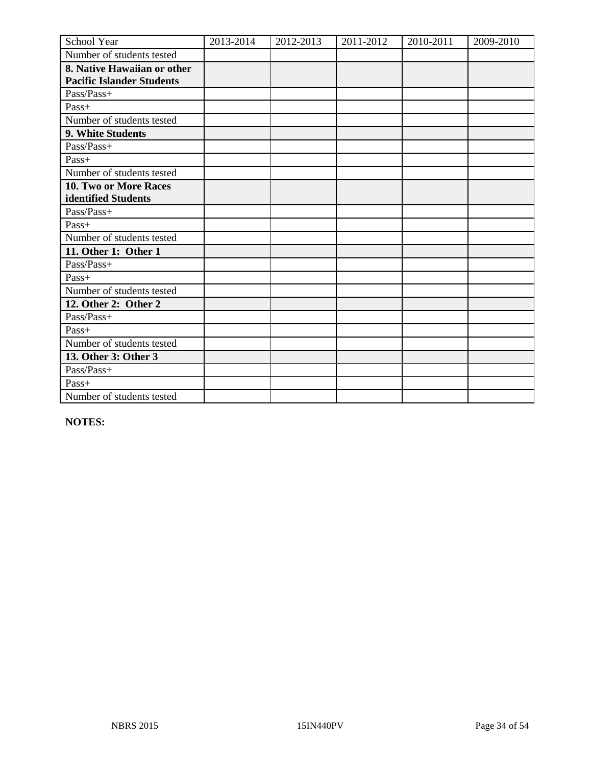| School Year                      | 2013-2014 | 2012-2013 | 2011-2012 | 2010-2011 | 2009-2010 |
|----------------------------------|-----------|-----------|-----------|-----------|-----------|
| Number of students tested        |           |           |           |           |           |
| 8. Native Hawaiian or other      |           |           |           |           |           |
| <b>Pacific Islander Students</b> |           |           |           |           |           |
| Pass/Pass+                       |           |           |           |           |           |
| Pass+                            |           |           |           |           |           |
| Number of students tested        |           |           |           |           |           |
| 9. White Students                |           |           |           |           |           |
| Pass/Pass+                       |           |           |           |           |           |
| Pass+                            |           |           |           |           |           |
| Number of students tested        |           |           |           |           |           |
| <b>10. Two or More Races</b>     |           |           |           |           |           |
| identified Students              |           |           |           |           |           |
| $Pass/Pass+$                     |           |           |           |           |           |
| Pass+                            |           |           |           |           |           |
| Number of students tested        |           |           |           |           |           |
| 11. Other 1: Other 1             |           |           |           |           |           |
| Pass/Pass+                       |           |           |           |           |           |
| Pass+                            |           |           |           |           |           |
| Number of students tested        |           |           |           |           |           |
| 12. Other 2: Other 2             |           |           |           |           |           |
| Pass/Pass+                       |           |           |           |           |           |
| Pass+                            |           |           |           |           |           |
| Number of students tested        |           |           |           |           |           |
| 13. Other 3: Other 3             |           |           |           |           |           |
| Pass/Pass+                       |           |           |           |           |           |
| $Pass+$                          |           |           |           |           |           |
| Number of students tested        |           |           |           |           |           |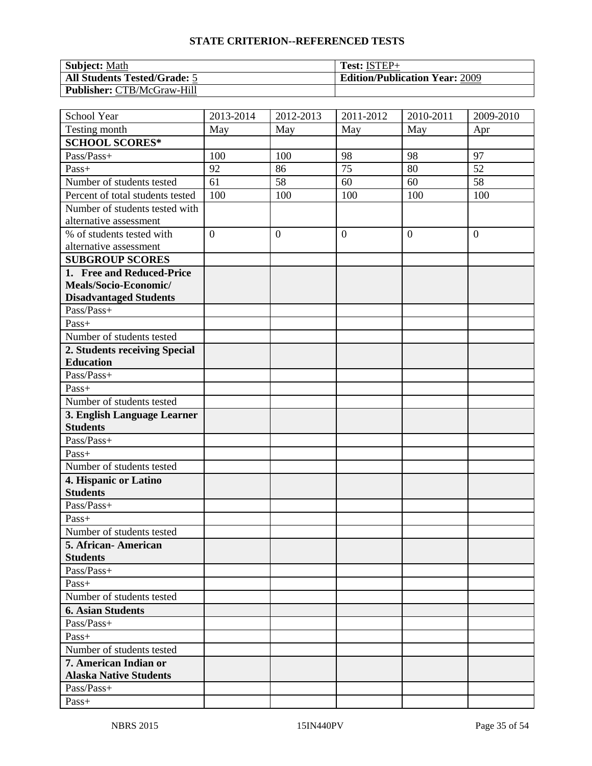| <b>Subject: Math</b>                | Test: ISTEP+                          |
|-------------------------------------|---------------------------------------|
| <b>All Students Tested/Grade: 5</b> | <b>Edition/Publication Year: 2009</b> |
| <b>Publisher: CTB/McGraw-Hill</b>   |                                       |

| School Year                      | 2013-2014       | 2012-2013    | 2011-2012        | 2010-2011        | 2009-2010        |
|----------------------------------|-----------------|--------------|------------------|------------------|------------------|
| Testing month                    | May             | May          | May              | May              | Apr              |
| <b>SCHOOL SCORES*</b>            |                 |              |                  |                  |                  |
| Pass/Pass+                       | 100             | 100          | 98               | 98               | 97               |
| Pass+                            | 92              | 86           | 75               | 80               | 52               |
| Number of students tested        | $\overline{61}$ | 58           | 60               | 60               | $\overline{58}$  |
| Percent of total students tested | 100             | 100          | 100              | 100              | 100              |
| Number of students tested with   |                 |              |                  |                  |                  |
| alternative assessment           |                 |              |                  |                  |                  |
| % of students tested with        | $\overline{0}$  | $\mathbf{0}$ | $\boldsymbol{0}$ | $\boldsymbol{0}$ | $\boldsymbol{0}$ |
| alternative assessment           |                 |              |                  |                  |                  |
| <b>SUBGROUP SCORES</b>           |                 |              |                  |                  |                  |
| 1. Free and Reduced-Price        |                 |              |                  |                  |                  |
| Meals/Socio-Economic/            |                 |              |                  |                  |                  |
| <b>Disadvantaged Students</b>    |                 |              |                  |                  |                  |
| Pass/Pass+                       |                 |              |                  |                  |                  |
| Pass+                            |                 |              |                  |                  |                  |
| Number of students tested        |                 |              |                  |                  |                  |
| 2. Students receiving Special    |                 |              |                  |                  |                  |
| <b>Education</b>                 |                 |              |                  |                  |                  |
| Pass/Pass+                       |                 |              |                  |                  |                  |
| Pass+                            |                 |              |                  |                  |                  |
| Number of students tested        |                 |              |                  |                  |                  |
| 3. English Language Learner      |                 |              |                  |                  |                  |
| <b>Students</b>                  |                 |              |                  |                  |                  |
| Pass/Pass+                       |                 |              |                  |                  |                  |
| Pass+                            |                 |              |                  |                  |                  |
| Number of students tested        |                 |              |                  |                  |                  |
| 4. Hispanic or Latino            |                 |              |                  |                  |                  |
| <b>Students</b>                  |                 |              |                  |                  |                  |
| Pass/Pass+                       |                 |              |                  |                  |                  |
| Pass+                            |                 |              |                  |                  |                  |
| Number of students tested        |                 |              |                  |                  |                  |
| 5. African-American              |                 |              |                  |                  |                  |
| <b>Students</b>                  |                 |              |                  |                  |                  |
| Pass/Pass+                       |                 |              |                  |                  |                  |
| Pass+                            |                 |              |                  |                  |                  |
| Number of students tested        |                 |              |                  |                  |                  |
| <b>6. Asian Students</b>         |                 |              |                  |                  |                  |
| Pass/Pass+                       |                 |              |                  |                  |                  |
| $Pass+$                          |                 |              |                  |                  |                  |
| Number of students tested        |                 |              |                  |                  |                  |
| 7. American Indian or            |                 |              |                  |                  |                  |
| <b>Alaska Native Students</b>    |                 |              |                  |                  |                  |
| Pass/Pass+                       |                 |              |                  |                  |                  |
| Pass+                            |                 |              |                  |                  |                  |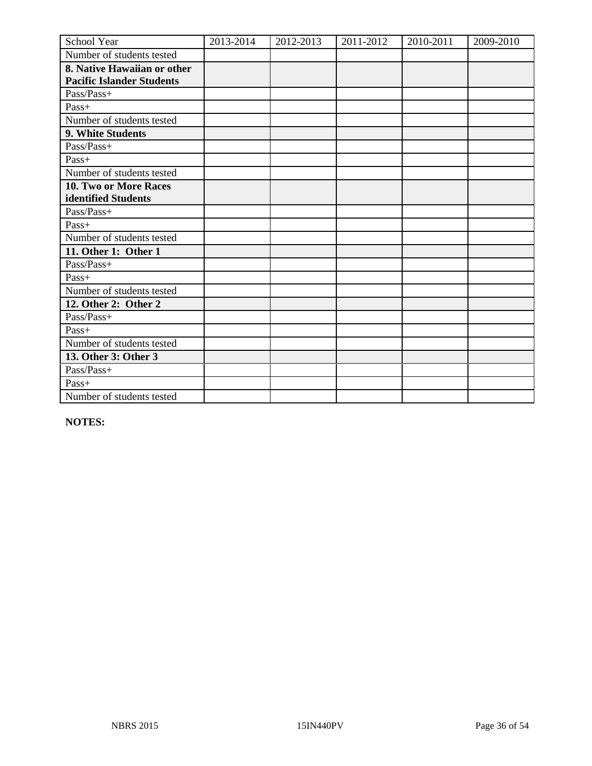| School Year                      | 2013-2014 | 2012-2013 | 2011-2012 | 2010-2011 | 2009-2010 |
|----------------------------------|-----------|-----------|-----------|-----------|-----------|
| Number of students tested        |           |           |           |           |           |
| 8. Native Hawaiian or other      |           |           |           |           |           |
| <b>Pacific Islander Students</b> |           |           |           |           |           |
| Pass/Pass+                       |           |           |           |           |           |
| Pass+                            |           |           |           |           |           |
| Number of students tested        |           |           |           |           |           |
| 9. White Students                |           |           |           |           |           |
| Pass/Pass+                       |           |           |           |           |           |
| Pass+                            |           |           |           |           |           |
| Number of students tested        |           |           |           |           |           |
| 10. Two or More Races            |           |           |           |           |           |
| identified Students              |           |           |           |           |           |
| Pass/Pass+                       |           |           |           |           |           |
| Pass+                            |           |           |           |           |           |
| Number of students tested        |           |           |           |           |           |
| 11. Other 1: Other 1             |           |           |           |           |           |
| Pass/Pass+                       |           |           |           |           |           |
| Pass+                            |           |           |           |           |           |
| Number of students tested        |           |           |           |           |           |
| 12. Other 2: Other 2             |           |           |           |           |           |
| Pass/Pass+                       |           |           |           |           |           |
| $Pass+$                          |           |           |           |           |           |
| Number of students tested        |           |           |           |           |           |
| 13. Other 3: Other 3             |           |           |           |           |           |
| Pass/Pass+                       |           |           |           |           |           |
| Pass+                            |           |           |           |           |           |
| Number of students tested        |           |           |           |           |           |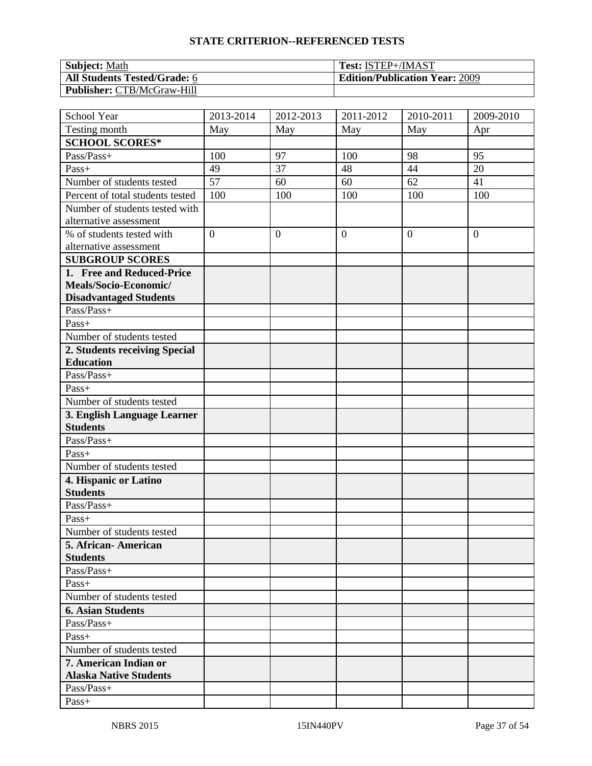| <b>Subject: Math</b>                | Test: ISTEP+/IMAST                    |
|-------------------------------------|---------------------------------------|
| <b>All Students Tested/Grade: 6</b> | <b>Edition/Publication Year: 2009</b> |
| <b>Publisher: CTB/McGraw-Hill</b>   |                                       |

| School Year                      | 2013-2014       | 2012-2013      | 2011-2012      | 2010-2011      | 2009-2010      |
|----------------------------------|-----------------|----------------|----------------|----------------|----------------|
| Testing month                    | May             | May            | May            | May            | Apr            |
| <b>SCHOOL SCORES*</b>            |                 |                |                |                |                |
| Pass/Pass+                       | 100             | 97             | 100            | 98             | 95             |
| Pass+                            | 49              | 37             | 48             | 44             | 20             |
| Number of students tested        | $\overline{57}$ | 60             | 60             | 62             | 41             |
| Percent of total students tested | 100             | 100            | 100            | 100            | 100            |
| Number of students tested with   |                 |                |                |                |                |
| alternative assessment           |                 |                |                |                |                |
| % of students tested with        | $\overline{0}$  | $\overline{0}$ | $\overline{0}$ | $\overline{0}$ | $\overline{0}$ |
| alternative assessment           |                 |                |                |                |                |
| <b>SUBGROUP SCORES</b>           |                 |                |                |                |                |
| 1. Free and Reduced-Price        |                 |                |                |                |                |
| Meals/Socio-Economic/            |                 |                |                |                |                |
| <b>Disadvantaged Students</b>    |                 |                |                |                |                |
| Pass/Pass+                       |                 |                |                |                |                |
| Pass+                            |                 |                |                |                |                |
| Number of students tested        |                 |                |                |                |                |
| 2. Students receiving Special    |                 |                |                |                |                |
| <b>Education</b>                 |                 |                |                |                |                |
| Pass/Pass+                       |                 |                |                |                |                |
| Pass+                            |                 |                |                |                |                |
| Number of students tested        |                 |                |                |                |                |
| 3. English Language Learner      |                 |                |                |                |                |
| <b>Students</b>                  |                 |                |                |                |                |
| Pass/Pass+                       |                 |                |                |                |                |
| Pass+                            |                 |                |                |                |                |
| Number of students tested        |                 |                |                |                |                |
| 4. Hispanic or Latino            |                 |                |                |                |                |
| <b>Students</b>                  |                 |                |                |                |                |
| Pass/Pass+                       |                 |                |                |                |                |
| Pass+                            |                 |                |                |                |                |
| Number of students tested        |                 |                |                |                |                |
| 5. African- American             |                 |                |                |                |                |
| <b>Students</b>                  |                 |                |                |                |                |
| Pass/Pass+                       |                 |                |                |                |                |
| $Pass+$                          |                 |                |                |                |                |
| Number of students tested        |                 |                |                |                |                |
| <b>6. Asian Students</b>         |                 |                |                |                |                |
| Pass/Pass+                       |                 |                |                |                |                |
| Pass+                            |                 |                |                |                |                |
| Number of students tested        |                 |                |                |                |                |
| 7. American Indian or            |                 |                |                |                |                |
| <b>Alaska Native Students</b>    |                 |                |                |                |                |
| Pass/Pass+                       |                 |                |                |                |                |
| Pass+                            |                 |                |                |                |                |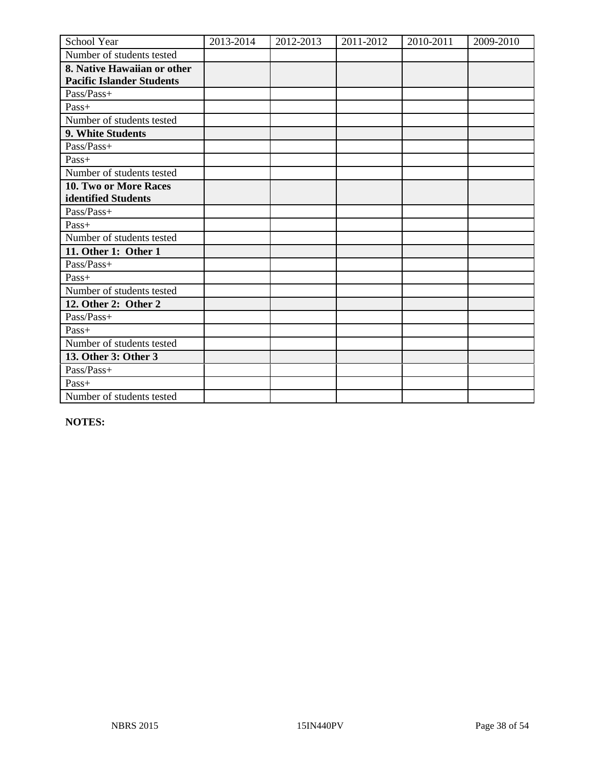| School Year                      | 2013-2014 | 2012-2013 | 2011-2012 | 2010-2011 | 2009-2010 |
|----------------------------------|-----------|-----------|-----------|-----------|-----------|
| Number of students tested        |           |           |           |           |           |
| 8. Native Hawaiian or other      |           |           |           |           |           |
| <b>Pacific Islander Students</b> |           |           |           |           |           |
| Pass/Pass+                       |           |           |           |           |           |
| Pass+                            |           |           |           |           |           |
| Number of students tested        |           |           |           |           |           |
| 9. White Students                |           |           |           |           |           |
| Pass/Pass+                       |           |           |           |           |           |
| Pass+                            |           |           |           |           |           |
| Number of students tested        |           |           |           |           |           |
| <b>10. Two or More Races</b>     |           |           |           |           |           |
| identified Students              |           |           |           |           |           |
| $Pass/Pass+$                     |           |           |           |           |           |
| Pass+                            |           |           |           |           |           |
| Number of students tested        |           |           |           |           |           |
| 11. Other 1: Other 1             |           |           |           |           |           |
| Pass/Pass+                       |           |           |           |           |           |
| Pass+                            |           |           |           |           |           |
| Number of students tested        |           |           |           |           |           |
| 12. Other 2: Other 2             |           |           |           |           |           |
| Pass/Pass+                       |           |           |           |           |           |
| Pass+                            |           |           |           |           |           |
| Number of students tested        |           |           |           |           |           |
| 13. Other 3: Other 3             |           |           |           |           |           |
| Pass/Pass+                       |           |           |           |           |           |
| $Pass+$                          |           |           |           |           |           |
| Number of students tested        |           |           |           |           |           |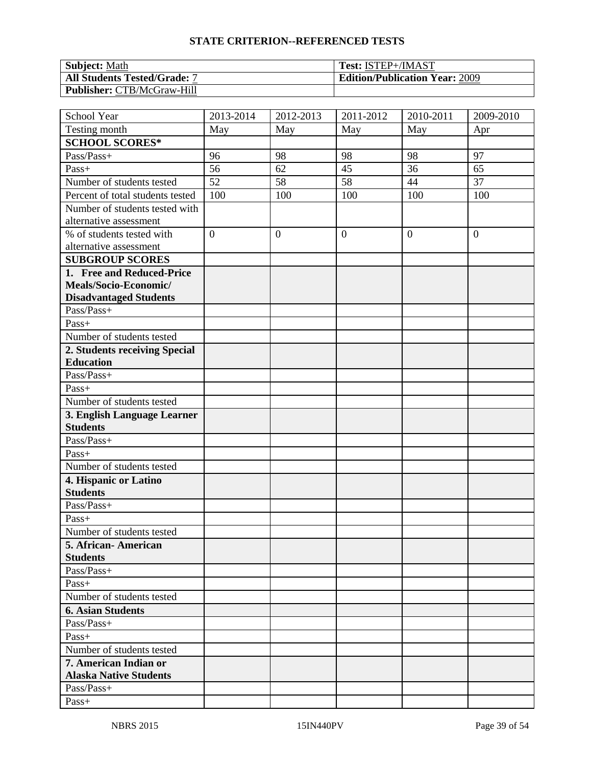| <b>Subject:</b> Math                | Test: ISTEP+/IMAST                    |
|-------------------------------------|---------------------------------------|
| <b>All Students Tested/Grade: 7</b> | <b>Edition/Publication Year: 2009</b> |
| <b>Publisher: CTB/McGraw-Hill</b>   |                                       |

| School Year                                            | 2013-2014       | 2012-2013       | 2011-2012        | 2010-2011 | 2009-2010      |
|--------------------------------------------------------|-----------------|-----------------|------------------|-----------|----------------|
| Testing month                                          | May             | May             | May              | May       | Apr            |
| <b>SCHOOL SCORES*</b>                                  |                 |                 |                  |           |                |
| Pass/Pass+                                             | 96              | 98              | 98               | 98        | 97             |
| Pass+                                                  | 56              | 62              | 45               | 36        | 65             |
| Number of students tested                              | $\overline{52}$ | $\overline{58}$ | $\overline{58}$  | 44        | 37             |
| Percent of total students tested                       | 100             | 100             | 100              | 100       | 100            |
| Number of students tested with                         |                 |                 |                  |           |                |
| alternative assessment                                 |                 |                 |                  |           |                |
| % of students tested with                              | $\overline{0}$  | $\mathbf{0}$    | $\boldsymbol{0}$ | $\theta$  | $\overline{0}$ |
| alternative assessment                                 |                 |                 |                  |           |                |
| <b>SUBGROUP SCORES</b>                                 |                 |                 |                  |           |                |
| 1. Free and Reduced-Price                              |                 |                 |                  |           |                |
| Meals/Socio-Economic/                                  |                 |                 |                  |           |                |
| <b>Disadvantaged Students</b>                          |                 |                 |                  |           |                |
| Pass/Pass+                                             |                 |                 |                  |           |                |
| Pass+                                                  |                 |                 |                  |           |                |
| Number of students tested                              |                 |                 |                  |           |                |
| 2. Students receiving Special                          |                 |                 |                  |           |                |
| <b>Education</b>                                       |                 |                 |                  |           |                |
| Pass/Pass+                                             |                 |                 |                  |           |                |
| Pass+                                                  |                 |                 |                  |           |                |
| Number of students tested                              |                 |                 |                  |           |                |
| 3. English Language Learner                            |                 |                 |                  |           |                |
| <b>Students</b>                                        |                 |                 |                  |           |                |
| Pass/Pass+                                             |                 |                 |                  |           |                |
| Pass+                                                  |                 |                 |                  |           |                |
| Number of students tested                              |                 |                 |                  |           |                |
| 4. Hispanic or Latino                                  |                 |                 |                  |           |                |
| <b>Students</b>                                        |                 |                 |                  |           |                |
| Pass/Pass+                                             |                 |                 |                  |           |                |
| Pass+                                                  |                 |                 |                  |           |                |
| Number of students tested                              |                 |                 |                  |           |                |
| 5. African - American                                  |                 |                 |                  |           |                |
| <b>Students</b>                                        |                 |                 |                  |           |                |
| Pass/Pass+                                             |                 |                 |                  |           |                |
| $Pass+$                                                |                 |                 |                  |           |                |
| Number of students tested                              |                 |                 |                  |           |                |
| <b>6. Asian Students</b>                               |                 |                 |                  |           |                |
| Pass/Pass+                                             |                 |                 |                  |           |                |
| Pass+                                                  |                 |                 |                  |           |                |
| Number of students tested                              |                 |                 |                  |           |                |
| 7. American Indian or<br><b>Alaska Native Students</b> |                 |                 |                  |           |                |
| Pass/Pass+                                             |                 |                 |                  |           |                |
|                                                        |                 |                 |                  |           |                |
| Pass+                                                  |                 |                 |                  |           |                |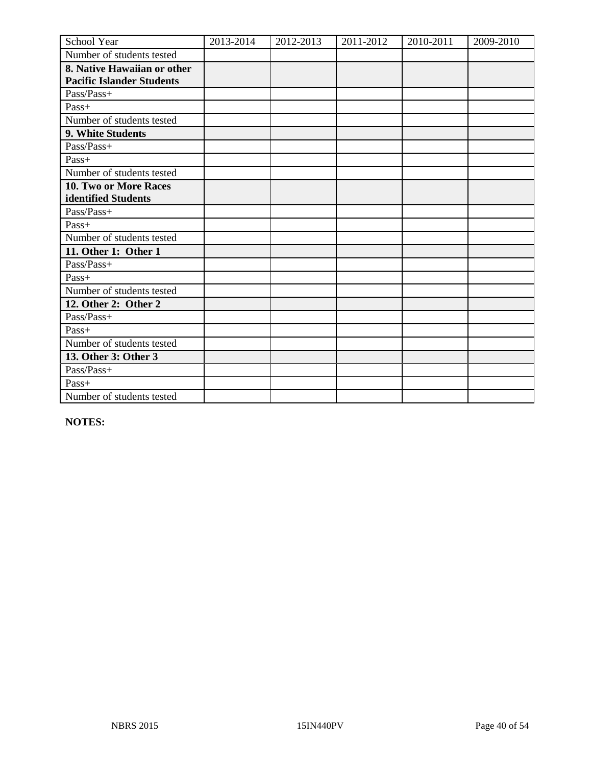| School Year                      | 2013-2014 | 2012-2013 | 2011-2012 | 2010-2011 | 2009-2010 |
|----------------------------------|-----------|-----------|-----------|-----------|-----------|
| Number of students tested        |           |           |           |           |           |
| 8. Native Hawaiian or other      |           |           |           |           |           |
| <b>Pacific Islander Students</b> |           |           |           |           |           |
| Pass/Pass+                       |           |           |           |           |           |
| Pass+                            |           |           |           |           |           |
| Number of students tested        |           |           |           |           |           |
| 9. White Students                |           |           |           |           |           |
| Pass/Pass+                       |           |           |           |           |           |
| Pass+                            |           |           |           |           |           |
| Number of students tested        |           |           |           |           |           |
| 10. Two or More Races            |           |           |           |           |           |
| identified Students              |           |           |           |           |           |
| Pass/Pass+                       |           |           |           |           |           |
| Pass+                            |           |           |           |           |           |
| Number of students tested        |           |           |           |           |           |
| 11. Other 1: Other 1             |           |           |           |           |           |
| Pass/Pass+                       |           |           |           |           |           |
| Pass+                            |           |           |           |           |           |
| Number of students tested        |           |           |           |           |           |
| 12. Other 2: Other 2             |           |           |           |           |           |
| Pass/Pass+                       |           |           |           |           |           |
| $Pass+$                          |           |           |           |           |           |
| Number of students tested        |           |           |           |           |           |
| 13. Other 3: Other 3             |           |           |           |           |           |
| Pass/Pass+                       |           |           |           |           |           |
| Pass+                            |           |           |           |           |           |
| Number of students tested        |           |           |           |           |           |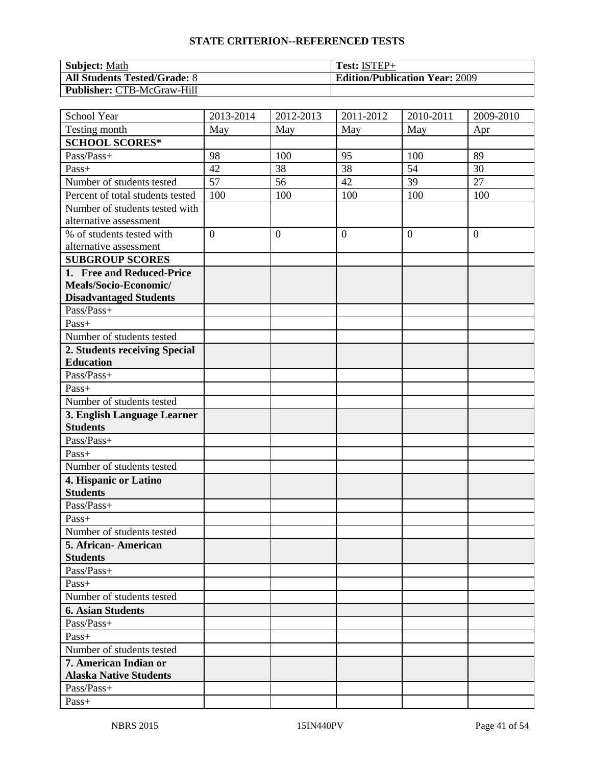| <b>Subject:</b> Math                | Test: ISTEP+                          |
|-------------------------------------|---------------------------------------|
| <b>All Students Tested/Grade: 8</b> | <b>Edition/Publication Year: 2009</b> |
| <b>Publisher: CTB-McGraw-Hill</b>   |                                       |

| School Year                      | 2013-2014       | 2012-2013    | 2011-2012        | 2010-2011 | 2009-2010      |
|----------------------------------|-----------------|--------------|------------------|-----------|----------------|
| Testing month                    | May             | May          | May              | May       | Apr            |
| <b>SCHOOL SCORES*</b>            |                 |              |                  |           |                |
| Pass/Pass+                       | 98              | 100          | 95               | 100       | 89             |
| Pass+                            | 42              | 38           | 38               | 54        | 30             |
| Number of students tested        | $\overline{57}$ | 56           | 42               | 39        | 27             |
| Percent of total students tested | 100             | 100          | 100              | 100       | 100            |
| Number of students tested with   |                 |              |                  |           |                |
| alternative assessment           |                 |              |                  |           |                |
| % of students tested with        | $\overline{0}$  | $\mathbf{0}$ | $\boldsymbol{0}$ | $\theta$  | $\overline{0}$ |
| alternative assessment           |                 |              |                  |           |                |
| <b>SUBGROUP SCORES</b>           |                 |              |                  |           |                |
| 1. Free and Reduced-Price        |                 |              |                  |           |                |
| Meals/Socio-Economic/            |                 |              |                  |           |                |
| <b>Disadvantaged Students</b>    |                 |              |                  |           |                |
| Pass/Pass+                       |                 |              |                  |           |                |
| Pass+                            |                 |              |                  |           |                |
| Number of students tested        |                 |              |                  |           |                |
| 2. Students receiving Special    |                 |              |                  |           |                |
| <b>Education</b>                 |                 |              |                  |           |                |
| Pass/Pass+                       |                 |              |                  |           |                |
| Pass+                            |                 |              |                  |           |                |
| Number of students tested        |                 |              |                  |           |                |
| 3. English Language Learner      |                 |              |                  |           |                |
| <b>Students</b>                  |                 |              |                  |           |                |
| Pass/Pass+                       |                 |              |                  |           |                |
| Pass+                            |                 |              |                  |           |                |
| Number of students tested        |                 |              |                  |           |                |
| 4. Hispanic or Latino            |                 |              |                  |           |                |
| <b>Students</b>                  |                 |              |                  |           |                |
| Pass/Pass+                       |                 |              |                  |           |                |
| Pass+                            |                 |              |                  |           |                |
| Number of students tested        |                 |              |                  |           |                |
| 5. African - American            |                 |              |                  |           |                |
| <b>Students</b>                  |                 |              |                  |           |                |
| Pass/Pass+                       |                 |              |                  |           |                |
| $Pass+$                          |                 |              |                  |           |                |
| Number of students tested        |                 |              |                  |           |                |
| <b>6. Asian Students</b>         |                 |              |                  |           |                |
| Pass/Pass+                       |                 |              |                  |           |                |
| Pass+                            |                 |              |                  |           |                |
| Number of students tested        |                 |              |                  |           |                |
| 7. American Indian or            |                 |              |                  |           |                |
| <b>Alaska Native Students</b>    |                 |              |                  |           |                |
| Pass/Pass+                       |                 |              |                  |           |                |
| Pass+                            |                 |              |                  |           |                |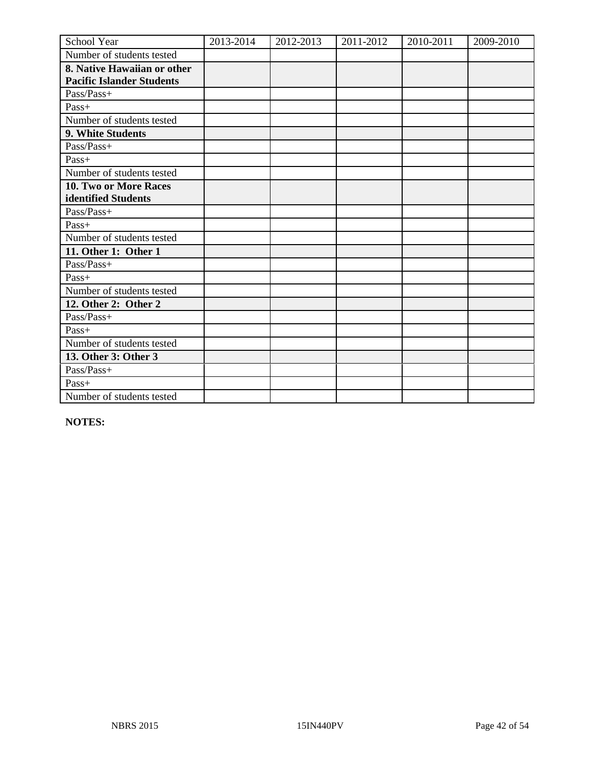| School Year                      | 2013-2014 | 2012-2013 | 2011-2012 | 2010-2011 | 2009-2010 |
|----------------------------------|-----------|-----------|-----------|-----------|-----------|
| Number of students tested        |           |           |           |           |           |
| 8. Native Hawaiian or other      |           |           |           |           |           |
| <b>Pacific Islander Students</b> |           |           |           |           |           |
| Pass/Pass+                       |           |           |           |           |           |
| Pass+                            |           |           |           |           |           |
| Number of students tested        |           |           |           |           |           |
| 9. White Students                |           |           |           |           |           |
| Pass/Pass+                       |           |           |           |           |           |
| Pass+                            |           |           |           |           |           |
| Number of students tested        |           |           |           |           |           |
| 10. Two or More Races            |           |           |           |           |           |
| identified Students              |           |           |           |           |           |
| Pass/Pass+                       |           |           |           |           |           |
| Pass+                            |           |           |           |           |           |
| Number of students tested        |           |           |           |           |           |
| 11. Other 1: Other 1             |           |           |           |           |           |
| Pass/Pass+                       |           |           |           |           |           |
| Pass+                            |           |           |           |           |           |
| Number of students tested        |           |           |           |           |           |
| 12. Other 2: Other 2             |           |           |           |           |           |
| Pass/Pass+                       |           |           |           |           |           |
| $Pass+$                          |           |           |           |           |           |
| Number of students tested        |           |           |           |           |           |
| 13. Other 3: Other 3             |           |           |           |           |           |
| Pass/Pass+                       |           |           |           |           |           |
| Pass+                            |           |           |           |           |           |
| Number of students tested        |           |           |           |           |           |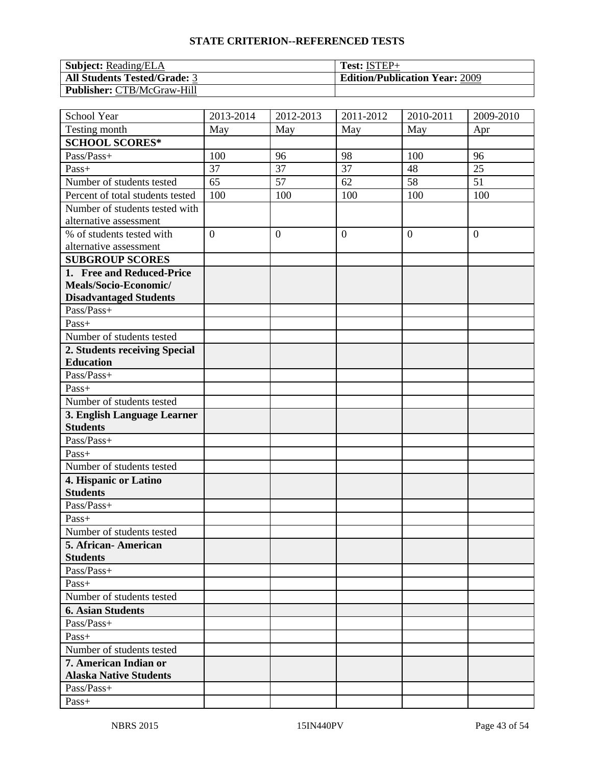| <b>Subject:</b> Reading/ELA         | $\,$ Test: ISTEP+                     |
|-------------------------------------|---------------------------------------|
| <b>All Students Tested/Grade: 3</b> | <b>Edition/Publication Year: 2009</b> |
| <b>Publisher: CTB/McGraw-Hill</b>   |                                       |

| School Year                      | 2013-2014       | 2012-2013       | 2011-2012        | 2010-2011        | 2009-2010        |
|----------------------------------|-----------------|-----------------|------------------|------------------|------------------|
| Testing month                    | May             | May             | May              | May              | Apr              |
| <b>SCHOOL SCORES*</b>            |                 |                 |                  |                  |                  |
| Pass/Pass+                       | 100             | 96              | 98               | 100              | 96               |
| Pass+                            | 37              | 37              | 37               | 48               | 25               |
| Number of students tested        | $\overline{65}$ | $\overline{57}$ | 62               | $\overline{58}$  | $\overline{51}$  |
| Percent of total students tested | 100             | 100             | 100              | 100              | 100              |
| Number of students tested with   |                 |                 |                  |                  |                  |
| alternative assessment           |                 |                 |                  |                  |                  |
| % of students tested with        | $\overline{0}$  | $\mathbf{0}$    | $\boldsymbol{0}$ | $\boldsymbol{0}$ | $\boldsymbol{0}$ |
| alternative assessment           |                 |                 |                  |                  |                  |
| <b>SUBGROUP SCORES</b>           |                 |                 |                  |                  |                  |
| 1. Free and Reduced-Price        |                 |                 |                  |                  |                  |
| Meals/Socio-Economic/            |                 |                 |                  |                  |                  |
| <b>Disadvantaged Students</b>    |                 |                 |                  |                  |                  |
| Pass/Pass+                       |                 |                 |                  |                  |                  |
| Pass+                            |                 |                 |                  |                  |                  |
| Number of students tested        |                 |                 |                  |                  |                  |
| 2. Students receiving Special    |                 |                 |                  |                  |                  |
| <b>Education</b>                 |                 |                 |                  |                  |                  |
| Pass/Pass+                       |                 |                 |                  |                  |                  |
| Pass+                            |                 |                 |                  |                  |                  |
| Number of students tested        |                 |                 |                  |                  |                  |
| 3. English Language Learner      |                 |                 |                  |                  |                  |
| <b>Students</b>                  |                 |                 |                  |                  |                  |
| Pass/Pass+                       |                 |                 |                  |                  |                  |
| Pass+                            |                 |                 |                  |                  |                  |
| Number of students tested        |                 |                 |                  |                  |                  |
| 4. Hispanic or Latino            |                 |                 |                  |                  |                  |
| <b>Students</b>                  |                 |                 |                  |                  |                  |
| Pass/Pass+                       |                 |                 |                  |                  |                  |
| Pass+                            |                 |                 |                  |                  |                  |
| Number of students tested        |                 |                 |                  |                  |                  |
| 5. African-American              |                 |                 |                  |                  |                  |
| <b>Students</b>                  |                 |                 |                  |                  |                  |
| Pass/Pass+                       |                 |                 |                  |                  |                  |
| Pass+                            |                 |                 |                  |                  |                  |
| Number of students tested        |                 |                 |                  |                  |                  |
| <b>6. Asian Students</b>         |                 |                 |                  |                  |                  |
| Pass/Pass+                       |                 |                 |                  |                  |                  |
| $Pass+$                          |                 |                 |                  |                  |                  |
| Number of students tested        |                 |                 |                  |                  |                  |
| 7. American Indian or            |                 |                 |                  |                  |                  |
| <b>Alaska Native Students</b>    |                 |                 |                  |                  |                  |
| Pass/Pass+                       |                 |                 |                  |                  |                  |
| Pass+                            |                 |                 |                  |                  |                  |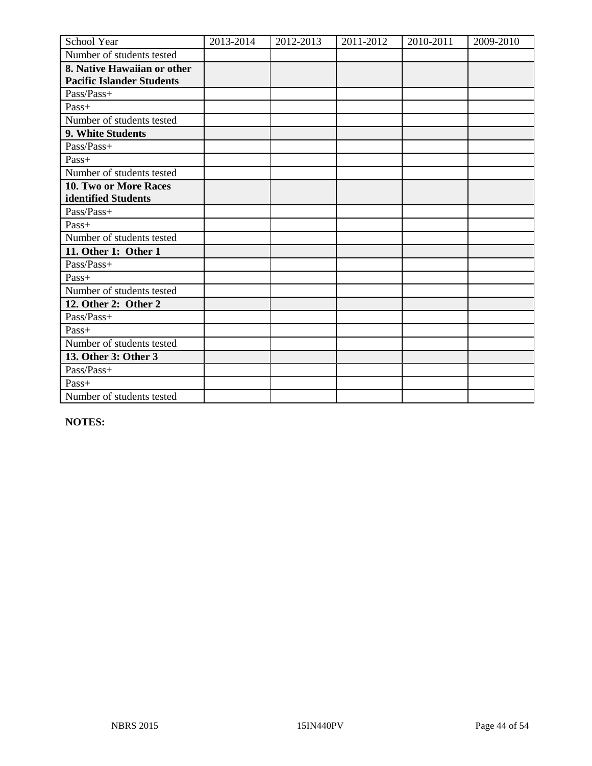| School Year                      | 2013-2014 | 2012-2013 | 2011-2012 | 2010-2011 | 2009-2010 |
|----------------------------------|-----------|-----------|-----------|-----------|-----------|
| Number of students tested        |           |           |           |           |           |
| 8. Native Hawaiian or other      |           |           |           |           |           |
| <b>Pacific Islander Students</b> |           |           |           |           |           |
| Pass/Pass+                       |           |           |           |           |           |
| $Pass+$                          |           |           |           |           |           |
| Number of students tested        |           |           |           |           |           |
| 9. White Students                |           |           |           |           |           |
| Pass/Pass+                       |           |           |           |           |           |
| Pass+                            |           |           |           |           |           |
| Number of students tested        |           |           |           |           |           |
| 10. Two or More Races            |           |           |           |           |           |
| identified Students              |           |           |           |           |           |
| Pass/Pass+                       |           |           |           |           |           |
| Pass+                            |           |           |           |           |           |
| Number of students tested        |           |           |           |           |           |
| 11. Other 1: Other 1             |           |           |           |           |           |
| Pass/Pass+                       |           |           |           |           |           |
| $Pass+$                          |           |           |           |           |           |
| Number of students tested        |           |           |           |           |           |
| 12. Other 2: Other 2             |           |           |           |           |           |
| Pass/Pass+                       |           |           |           |           |           |
| Pass+                            |           |           |           |           |           |
| Number of students tested        |           |           |           |           |           |
| 13. Other 3: Other 3             |           |           |           |           |           |
| Pass/Pass+                       |           |           |           |           |           |
| Pass+                            |           |           |           |           |           |
| Number of students tested        |           |           |           |           |           |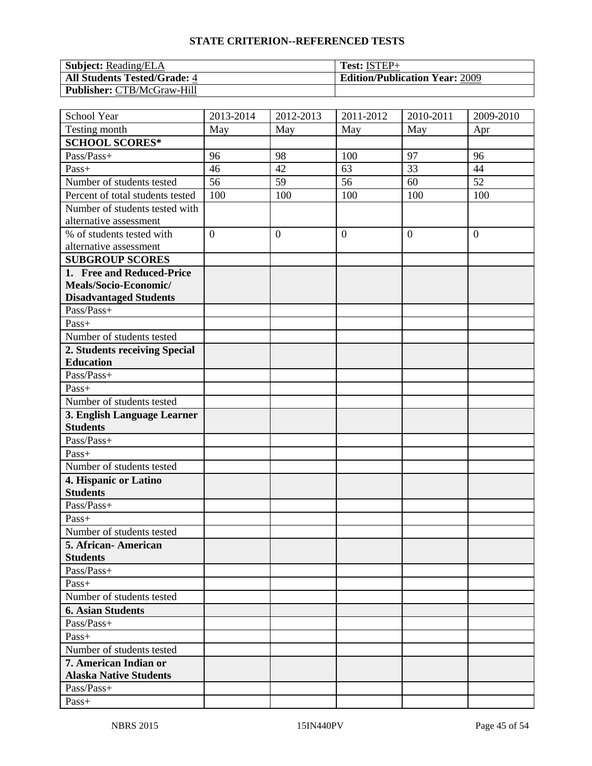| <b>Subject:</b> Reading/ELA         | Test: ISTEP+                          |
|-------------------------------------|---------------------------------------|
| <b>All Students Tested/Grade: 4</b> | <b>Edition/Publication Year: 2009</b> |
| <b>Publisher: CTB/McGraw-Hill</b>   |                                       |

| School Year                                            | 2013-2014      | 2012-2013        | 2011-2012        | 2010-2011      | 2009-2010      |
|--------------------------------------------------------|----------------|------------------|------------------|----------------|----------------|
| Testing month                                          | May            | May              | May              | May            | Apr            |
| <b>SCHOOL SCORES*</b>                                  |                |                  |                  |                |                |
| Pass/Pass+                                             | 96             | 98               | 100              | 97             | 96             |
| Pass+                                                  | 46             | 42               | 63               | 33             | 44             |
| Number of students tested                              | 56             | 59               | 56               | 60             | 52             |
| Percent of total students tested                       | 100            | 100              | 100              | 100            | 100            |
| Number of students tested with                         |                |                  |                  |                |                |
| alternative assessment                                 |                |                  |                  |                |                |
| % of students tested with                              | $\overline{0}$ | $\boldsymbol{0}$ | $\boldsymbol{0}$ | $\overline{0}$ | $\overline{0}$ |
| alternative assessment                                 |                |                  |                  |                |                |
| <b>SUBGROUP SCORES</b>                                 |                |                  |                  |                |                |
| 1. Free and Reduced-Price                              |                |                  |                  |                |                |
| Meals/Socio-Economic/                                  |                |                  |                  |                |                |
| <b>Disadvantaged Students</b>                          |                |                  |                  |                |                |
| Pass/Pass+                                             |                |                  |                  |                |                |
| Pass+                                                  |                |                  |                  |                |                |
| Number of students tested                              |                |                  |                  |                |                |
| 2. Students receiving Special                          |                |                  |                  |                |                |
| <b>Education</b>                                       |                |                  |                  |                |                |
| Pass/Pass+                                             |                |                  |                  |                |                |
| Pass+                                                  |                |                  |                  |                |                |
| Number of students tested                              |                |                  |                  |                |                |
| 3. English Language Learner                            |                |                  |                  |                |                |
| <b>Students</b>                                        |                |                  |                  |                |                |
| Pass/Pass+                                             |                |                  |                  |                |                |
| Pass+                                                  |                |                  |                  |                |                |
| Number of students tested                              |                |                  |                  |                |                |
| 4. Hispanic or Latino                                  |                |                  |                  |                |                |
| <b>Students</b>                                        |                |                  |                  |                |                |
| Pass/Pass+                                             |                |                  |                  |                |                |
| Pass+                                                  |                |                  |                  |                |                |
| Number of students tested                              |                |                  |                  |                |                |
| 5. African - American                                  |                |                  |                  |                |                |
| <b>Students</b>                                        |                |                  |                  |                |                |
| Pass/Pass+                                             |                |                  |                  |                |                |
| $Pass+$                                                |                |                  |                  |                |                |
| Number of students tested                              |                |                  |                  |                |                |
| <b>6. Asian Students</b>                               |                |                  |                  |                |                |
| $Pass/Pass+$                                           |                |                  |                  |                |                |
| $Pass+$                                                |                |                  |                  |                |                |
| Number of students tested                              |                |                  |                  |                |                |
| 7. American Indian or<br><b>Alaska Native Students</b> |                |                  |                  |                |                |
| Pass/Pass+                                             |                |                  |                  |                |                |
| Pass+                                                  |                |                  |                  |                |                |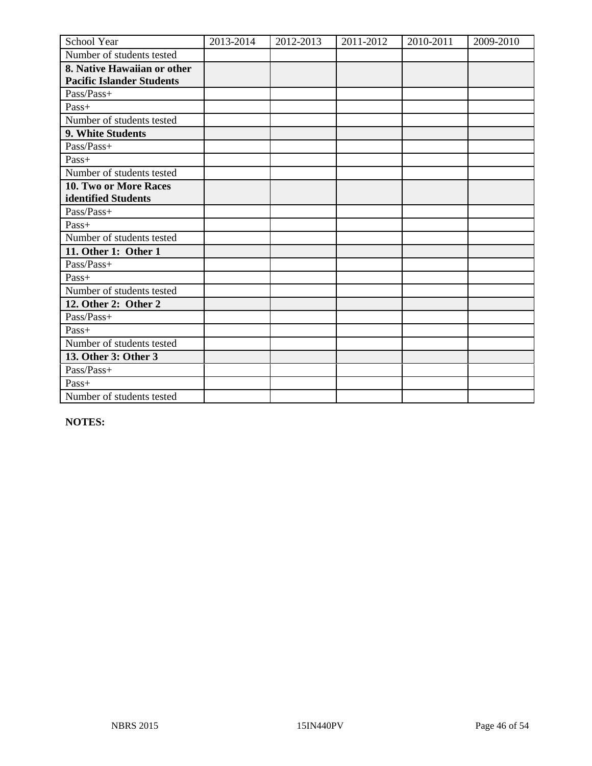| School Year                      | 2013-2014 | 2012-2013 | 2011-2012 | 2010-2011 | 2009-2010 |
|----------------------------------|-----------|-----------|-----------|-----------|-----------|
| Number of students tested        |           |           |           |           |           |
| 8. Native Hawaiian or other      |           |           |           |           |           |
| <b>Pacific Islander Students</b> |           |           |           |           |           |
| Pass/Pass+                       |           |           |           |           |           |
| Pass+                            |           |           |           |           |           |
| Number of students tested        |           |           |           |           |           |
| 9. White Students                |           |           |           |           |           |
| Pass/Pass+                       |           |           |           |           |           |
| Pass+                            |           |           |           |           |           |
| Number of students tested        |           |           |           |           |           |
| 10. Two or More Races            |           |           |           |           |           |
| identified Students              |           |           |           |           |           |
| Pass/Pass+                       |           |           |           |           |           |
| Pass+                            |           |           |           |           |           |
| Number of students tested        |           |           |           |           |           |
| 11. Other 1: Other 1             |           |           |           |           |           |
| Pass/Pass+                       |           |           |           |           |           |
| Pass+                            |           |           |           |           |           |
| Number of students tested        |           |           |           |           |           |
| 12. Other 2: Other 2             |           |           |           |           |           |
| Pass/Pass+                       |           |           |           |           |           |
| $Pass+$                          |           |           |           |           |           |
| Number of students tested        |           |           |           |           |           |
| 13. Other 3: Other 3             |           |           |           |           |           |
| Pass/Pass+                       |           |           |           |           |           |
| Pass+                            |           |           |           |           |           |
| Number of students tested        |           |           |           |           |           |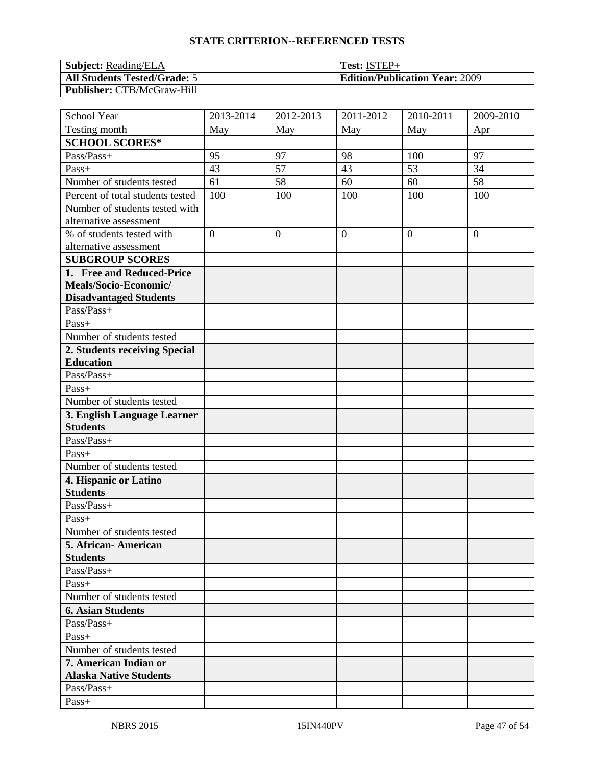| <b>Subject:</b> Reading/ELA         | $\,$ Test: ISTEP+                     |
|-------------------------------------|---------------------------------------|
| <b>All Students Tested/Grade: 5</b> | <b>Edition/Publication Year: 2009</b> |
| <b>Publisher: CTB/McGraw-Hill</b>   |                                       |

| School Year                                            | 2013-2014      | 2012-2013       | 2011-2012        | 2010-2011 | 2009-2010      |
|--------------------------------------------------------|----------------|-----------------|------------------|-----------|----------------|
| Testing month                                          | May            | May             | May              | May       | Apr            |
| <b>SCHOOL SCORES*</b>                                  |                |                 |                  |           |                |
| Pass/Pass+                                             | 95             | 97              | 98               | 100       | 97             |
| Pass+                                                  | 43             | 57              | 43               | 53        | 34             |
| Number of students tested                              | 61             | $\overline{58}$ | 60               | 60        | 58             |
| Percent of total students tested                       | 100            | 100             | 100              | 100       | 100            |
| Number of students tested with                         |                |                 |                  |           |                |
| alternative assessment                                 |                |                 |                  |           |                |
| % of students tested with                              | $\overline{0}$ | $\mathbf{0}$    | $\boldsymbol{0}$ | $\theta$  | $\overline{0}$ |
| alternative assessment                                 |                |                 |                  |           |                |
| <b>SUBGROUP SCORES</b>                                 |                |                 |                  |           |                |
| 1. Free and Reduced-Price                              |                |                 |                  |           |                |
| Meals/Socio-Economic/                                  |                |                 |                  |           |                |
| <b>Disadvantaged Students</b>                          |                |                 |                  |           |                |
| Pass/Pass+                                             |                |                 |                  |           |                |
| Pass+                                                  |                |                 |                  |           |                |
| Number of students tested                              |                |                 |                  |           |                |
| 2. Students receiving Special                          |                |                 |                  |           |                |
| <b>Education</b>                                       |                |                 |                  |           |                |
| Pass/Pass+                                             |                |                 |                  |           |                |
| Pass+                                                  |                |                 |                  |           |                |
| Number of students tested                              |                |                 |                  |           |                |
| 3. English Language Learner                            |                |                 |                  |           |                |
| <b>Students</b>                                        |                |                 |                  |           |                |
| Pass/Pass+                                             |                |                 |                  |           |                |
| Pass+                                                  |                |                 |                  |           |                |
| Number of students tested                              |                |                 |                  |           |                |
| 4. Hispanic or Latino                                  |                |                 |                  |           |                |
| <b>Students</b>                                        |                |                 |                  |           |                |
| Pass/Pass+                                             |                |                 |                  |           |                |
| Pass+                                                  |                |                 |                  |           |                |
| Number of students tested                              |                |                 |                  |           |                |
| 5. African - American                                  |                |                 |                  |           |                |
| <b>Students</b>                                        |                |                 |                  |           |                |
| Pass/Pass+                                             |                |                 |                  |           |                |
| $Pass+$                                                |                |                 |                  |           |                |
| Number of students tested                              |                |                 |                  |           |                |
| <b>6. Asian Students</b>                               |                |                 |                  |           |                |
| Pass/Pass+                                             |                |                 |                  |           |                |
| Pass+                                                  |                |                 |                  |           |                |
| Number of students tested                              |                |                 |                  |           |                |
| 7. American Indian or<br><b>Alaska Native Students</b> |                |                 |                  |           |                |
| Pass/Pass+                                             |                |                 |                  |           |                |
|                                                        |                |                 |                  |           |                |
| Pass+                                                  |                |                 |                  |           |                |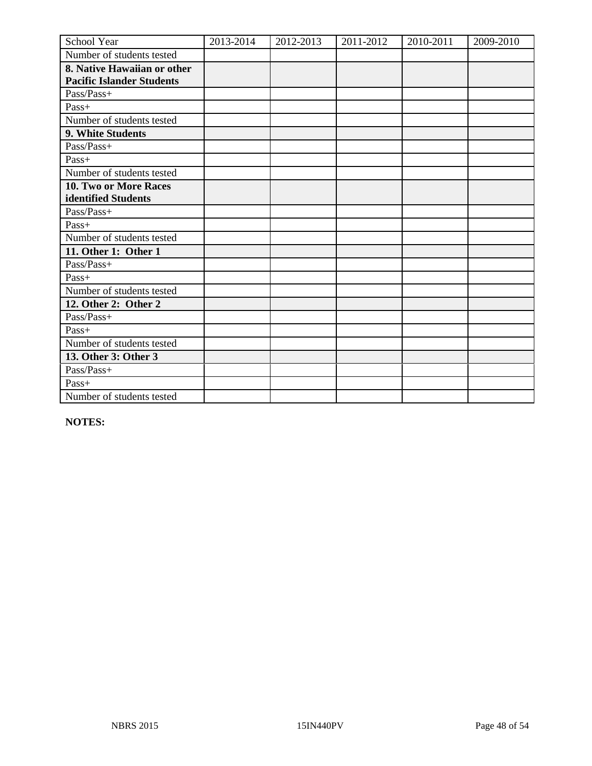| School Year                      | 2013-2014 | 2012-2013 | 2011-2012 | 2010-2011 | 2009-2010 |
|----------------------------------|-----------|-----------|-----------|-----------|-----------|
| Number of students tested        |           |           |           |           |           |
| 8. Native Hawaiian or other      |           |           |           |           |           |
| <b>Pacific Islander Students</b> |           |           |           |           |           |
| Pass/Pass+                       |           |           |           |           |           |
| $Pass+$                          |           |           |           |           |           |
| Number of students tested        |           |           |           |           |           |
| 9. White Students                |           |           |           |           |           |
| Pass/Pass+                       |           |           |           |           |           |
| Pass+                            |           |           |           |           |           |
| Number of students tested        |           |           |           |           |           |
| 10. Two or More Races            |           |           |           |           |           |
| identified Students              |           |           |           |           |           |
| Pass/Pass+                       |           |           |           |           |           |
| Pass+                            |           |           |           |           |           |
| Number of students tested        |           |           |           |           |           |
| 11. Other 1: Other 1             |           |           |           |           |           |
| Pass/Pass+                       |           |           |           |           |           |
| $Pass+$                          |           |           |           |           |           |
| Number of students tested        |           |           |           |           |           |
| 12. Other 2: Other 2             |           |           |           |           |           |
| Pass/Pass+                       |           |           |           |           |           |
| Pass+                            |           |           |           |           |           |
| Number of students tested        |           |           |           |           |           |
| 13. Other 3: Other 3             |           |           |           |           |           |
| Pass/Pass+                       |           |           |           |           |           |
| Pass+                            |           |           |           |           |           |
| Number of students tested        |           |           |           |           |           |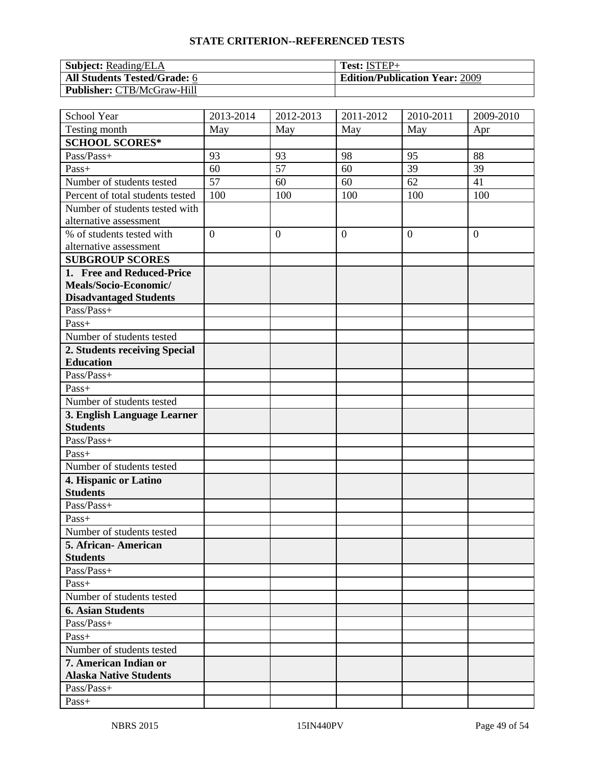| <b>Subject:</b> Reading/ELA         | $\,$ Test: ISTEP+                     |
|-------------------------------------|---------------------------------------|
| <b>All Students Tested/Grade: 6</b> | <b>Edition/Publication Year: 2009</b> |
| <b>Publisher: CTB/McGraw-Hill</b>   |                                       |

| School Year                                            | 2013-2014       | 2012-2013        | 2011-2012        | 2010-2011      | 2009-2010      |
|--------------------------------------------------------|-----------------|------------------|------------------|----------------|----------------|
| Testing month                                          | May             | May              | May              | May            | Apr            |
| <b>SCHOOL SCORES*</b>                                  |                 |                  |                  |                |                |
| Pass/Pass+                                             | 93              | 93               | 98               | 95             | 88             |
| Pass+                                                  | 60              | 57               | 60               | 39             | 39             |
| Number of students tested                              | $\overline{57}$ | 60               | 60               | 62             | 41             |
| Percent of total students tested                       | 100             | 100              | 100              | 100            | 100            |
| Number of students tested with                         |                 |                  |                  |                |                |
| alternative assessment                                 |                 |                  |                  |                |                |
| % of students tested with                              | $\overline{0}$  | $\boldsymbol{0}$ | $\boldsymbol{0}$ | $\overline{0}$ | $\overline{0}$ |
| alternative assessment                                 |                 |                  |                  |                |                |
| <b>SUBGROUP SCORES</b>                                 |                 |                  |                  |                |                |
| 1. Free and Reduced-Price                              |                 |                  |                  |                |                |
| Meals/Socio-Economic/                                  |                 |                  |                  |                |                |
| <b>Disadvantaged Students</b>                          |                 |                  |                  |                |                |
| Pass/Pass+                                             |                 |                  |                  |                |                |
| Pass+                                                  |                 |                  |                  |                |                |
| Number of students tested                              |                 |                  |                  |                |                |
| 2. Students receiving Special                          |                 |                  |                  |                |                |
| <b>Education</b>                                       |                 |                  |                  |                |                |
| Pass/Pass+                                             |                 |                  |                  |                |                |
| Pass+                                                  |                 |                  |                  |                |                |
| Number of students tested                              |                 |                  |                  |                |                |
| 3. English Language Learner                            |                 |                  |                  |                |                |
| <b>Students</b>                                        |                 |                  |                  |                |                |
| Pass/Pass+                                             |                 |                  |                  |                |                |
| Pass+                                                  |                 |                  |                  |                |                |
| Number of students tested                              |                 |                  |                  |                |                |
| 4. Hispanic or Latino                                  |                 |                  |                  |                |                |
| <b>Students</b>                                        |                 |                  |                  |                |                |
| Pass/Pass+                                             |                 |                  |                  |                |                |
| Pass+                                                  |                 |                  |                  |                |                |
| Number of students tested                              |                 |                  |                  |                |                |
| 5. African - American                                  |                 |                  |                  |                |                |
| <b>Students</b>                                        |                 |                  |                  |                |                |
| Pass/Pass+                                             |                 |                  |                  |                |                |
| $Pass+$                                                |                 |                  |                  |                |                |
| Number of students tested                              |                 |                  |                  |                |                |
| <b>6. Asian Students</b>                               |                 |                  |                  |                |                |
| $Pass/Pass+$                                           |                 |                  |                  |                |                |
| $Pass+$                                                |                 |                  |                  |                |                |
| Number of students tested                              |                 |                  |                  |                |                |
| 7. American Indian or<br><b>Alaska Native Students</b> |                 |                  |                  |                |                |
| Pass/Pass+                                             |                 |                  |                  |                |                |
| Pass+                                                  |                 |                  |                  |                |                |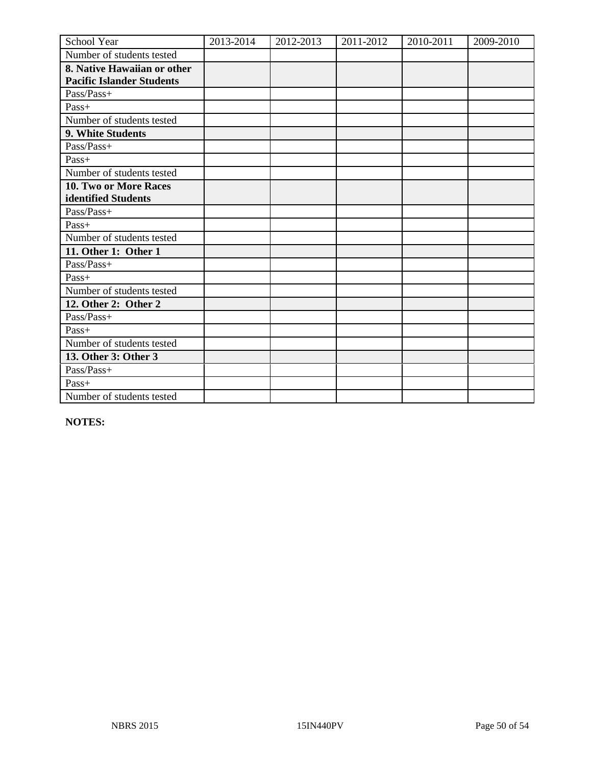| School Year                      | 2013-2014 | 2012-2013 | 2011-2012 | 2010-2011 | 2009-2010 |
|----------------------------------|-----------|-----------|-----------|-----------|-----------|
| Number of students tested        |           |           |           |           |           |
| 8. Native Hawaiian or other      |           |           |           |           |           |
| <b>Pacific Islander Students</b> |           |           |           |           |           |
| Pass/Pass+                       |           |           |           |           |           |
| Pass+                            |           |           |           |           |           |
| Number of students tested        |           |           |           |           |           |
| 9. White Students                |           |           |           |           |           |
| Pass/Pass+                       |           |           |           |           |           |
| Pass+                            |           |           |           |           |           |
| Number of students tested        |           |           |           |           |           |
| 10. Two or More Races            |           |           |           |           |           |
| identified Students              |           |           |           |           |           |
| Pass/Pass+                       |           |           |           |           |           |
| Pass+                            |           |           |           |           |           |
| Number of students tested        |           |           |           |           |           |
| 11. Other 1: Other 1             |           |           |           |           |           |
| Pass/Pass+                       |           |           |           |           |           |
| Pass+                            |           |           |           |           |           |
| Number of students tested        |           |           |           |           |           |
| 12. Other 2: Other 2             |           |           |           |           |           |
| Pass/Pass+                       |           |           |           |           |           |
| $Pass+$                          |           |           |           |           |           |
| Number of students tested        |           |           |           |           |           |
| 13. Other 3: Other 3             |           |           |           |           |           |
| Pass/Pass+                       |           |           |           |           |           |
| Pass+                            |           |           |           |           |           |
| Number of students tested        |           |           |           |           |           |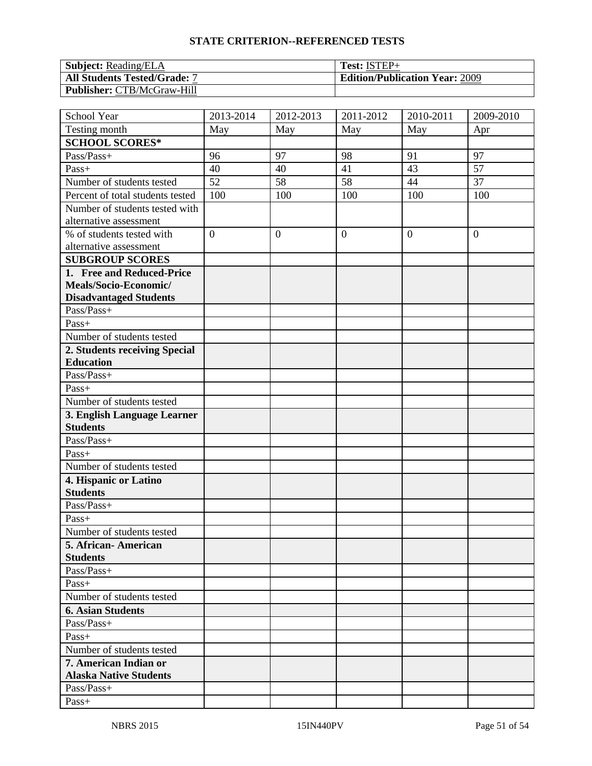| <b>Subject:</b> Reading/ELA         | Test: ISTEP+                          |
|-------------------------------------|---------------------------------------|
| <b>All Students Tested/Grade: 7</b> | <b>Edition/Publication Year: 2009</b> |
| <b>Publisher: CTB/McGraw-Hill</b>   |                                       |

| School Year                                            | 2013-2014      | 2012-2013    | 2011-2012        | 2010-2011 | 2009-2010      |
|--------------------------------------------------------|----------------|--------------|------------------|-----------|----------------|
| Testing month                                          | May            | May          | May              | May       | Apr            |
| <b>SCHOOL SCORES*</b>                                  |                |              |                  |           |                |
| Pass/Pass+                                             | 96             | 97           | 98               | 91        | 97             |
| Pass+                                                  | 40             | 40           | 41               | 43        | 57             |
| Number of students tested                              | 52             | 58           | $\overline{58}$  | 44        | 37             |
| Percent of total students tested                       | 100            | 100          | 100              | 100       | 100            |
| Number of students tested with                         |                |              |                  |           |                |
| alternative assessment                                 |                |              |                  |           |                |
| % of students tested with                              | $\overline{0}$ | $\mathbf{0}$ | $\boldsymbol{0}$ | $\theta$  | $\overline{0}$ |
| alternative assessment                                 |                |              |                  |           |                |
| <b>SUBGROUP SCORES</b>                                 |                |              |                  |           |                |
| 1. Free and Reduced-Price                              |                |              |                  |           |                |
| Meals/Socio-Economic/                                  |                |              |                  |           |                |
| <b>Disadvantaged Students</b>                          |                |              |                  |           |                |
| Pass/Pass+                                             |                |              |                  |           |                |
| Pass+                                                  |                |              |                  |           |                |
| Number of students tested                              |                |              |                  |           |                |
| 2. Students receiving Special                          |                |              |                  |           |                |
| <b>Education</b>                                       |                |              |                  |           |                |
| Pass/Pass+                                             |                |              |                  |           |                |
| Pass+                                                  |                |              |                  |           |                |
| Number of students tested                              |                |              |                  |           |                |
| 3. English Language Learner                            |                |              |                  |           |                |
| <b>Students</b>                                        |                |              |                  |           |                |
| Pass/Pass+                                             |                |              |                  |           |                |
| Pass+                                                  |                |              |                  |           |                |
| Number of students tested                              |                |              |                  |           |                |
| 4. Hispanic or Latino                                  |                |              |                  |           |                |
| <b>Students</b>                                        |                |              |                  |           |                |
| Pass/Pass+                                             |                |              |                  |           |                |
| Pass+                                                  |                |              |                  |           |                |
| Number of students tested                              |                |              |                  |           |                |
| 5. African - American                                  |                |              |                  |           |                |
| <b>Students</b>                                        |                |              |                  |           |                |
| Pass/Pass+                                             |                |              |                  |           |                |
| $Pass+$                                                |                |              |                  |           |                |
| Number of students tested                              |                |              |                  |           |                |
| <b>6. Asian Students</b>                               |                |              |                  |           |                |
| Pass/Pass+                                             |                |              |                  |           |                |
| Pass+                                                  |                |              |                  |           |                |
| Number of students tested                              |                |              |                  |           |                |
| 7. American Indian or<br><b>Alaska Native Students</b> |                |              |                  |           |                |
| Pass/Pass+                                             |                |              |                  |           |                |
|                                                        |                |              |                  |           |                |
| Pass+                                                  |                |              |                  |           |                |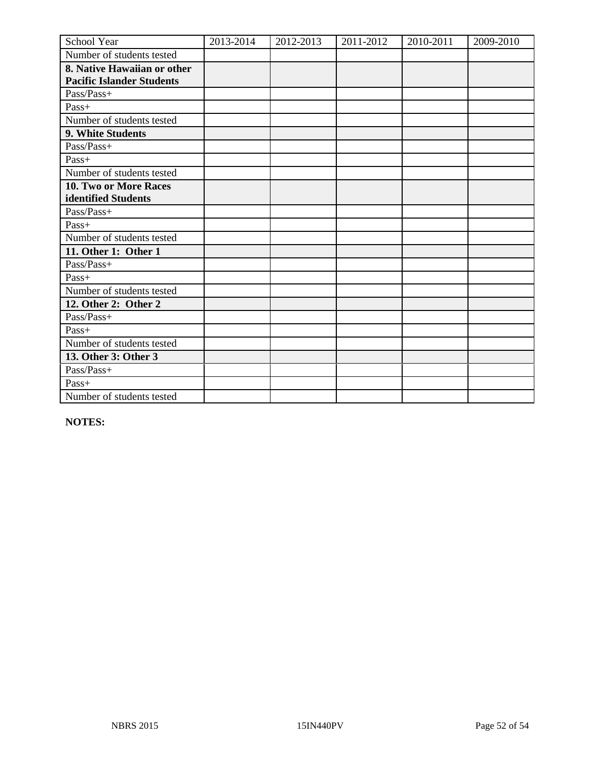| School Year                      | 2013-2014 | 2012-2013 | 2011-2012 | 2010-2011 | 2009-2010 |
|----------------------------------|-----------|-----------|-----------|-----------|-----------|
| Number of students tested        |           |           |           |           |           |
| 8. Native Hawaiian or other      |           |           |           |           |           |
| <b>Pacific Islander Students</b> |           |           |           |           |           |
| Pass/Pass+                       |           |           |           |           |           |
| $Pass+$                          |           |           |           |           |           |
| Number of students tested        |           |           |           |           |           |
| 9. White Students                |           |           |           |           |           |
| Pass/Pass+                       |           |           |           |           |           |
| Pass+                            |           |           |           |           |           |
| Number of students tested        |           |           |           |           |           |
| 10. Two or More Races            |           |           |           |           |           |
| identified Students              |           |           |           |           |           |
| Pass/Pass+                       |           |           |           |           |           |
| Pass+                            |           |           |           |           |           |
| Number of students tested        |           |           |           |           |           |
| 11. Other 1: Other 1             |           |           |           |           |           |
| Pass/Pass+                       |           |           |           |           |           |
| $Pass+$                          |           |           |           |           |           |
| Number of students tested        |           |           |           |           |           |
| 12. Other 2: Other 2             |           |           |           |           |           |
| Pass/Pass+                       |           |           |           |           |           |
| Pass+                            |           |           |           |           |           |
| Number of students tested        |           |           |           |           |           |
| 13. Other 3: Other 3             |           |           |           |           |           |
| Pass/Pass+                       |           |           |           |           |           |
| Pass+                            |           |           |           |           |           |
| Number of students tested        |           |           |           |           |           |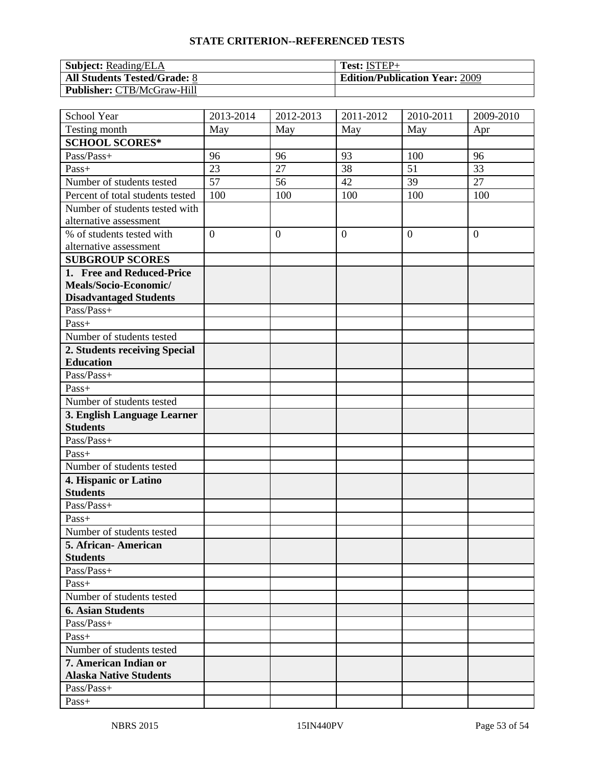| <b>Subject:</b> Reading/ELA         | $\,$ Test: ISTEP+                     |
|-------------------------------------|---------------------------------------|
| <b>All Students Tested/Grade: 8</b> | <b>Edition/Publication Year: 2009</b> |
| <b>Publisher: CTB/McGraw-Hill</b>   |                                       |

| School Year                                            | 2013-2014       | 2012-2013        | 2011-2012    | 2010-2011      | 2009-2010      |
|--------------------------------------------------------|-----------------|------------------|--------------|----------------|----------------|
| Testing month                                          | May             | May              | May          | May            | Apr            |
| <b>SCHOOL SCORES*</b>                                  |                 |                  |              |                |                |
| Pass/Pass+                                             | 96              | 96               | 93           | 100            | 96             |
| Pass+                                                  | 23              | 27               | 38           | 51             | 33             |
| Number of students tested                              | $\overline{57}$ | 56               | 42           | 39             | 27             |
| Percent of total students tested                       | 100             | 100              | 100          | 100            | 100            |
| Number of students tested with                         |                 |                  |              |                |                |
| alternative assessment                                 |                 |                  |              |                |                |
| % of students tested with                              | $\overline{0}$  | $\boldsymbol{0}$ | $\mathbf{0}$ | $\overline{0}$ | $\overline{0}$ |
| alternative assessment                                 |                 |                  |              |                |                |
| <b>SUBGROUP SCORES</b>                                 |                 |                  |              |                |                |
| 1. Free and Reduced-Price                              |                 |                  |              |                |                |
| Meals/Socio-Economic/                                  |                 |                  |              |                |                |
| <b>Disadvantaged Students</b>                          |                 |                  |              |                |                |
| Pass/Pass+                                             |                 |                  |              |                |                |
| Pass+                                                  |                 |                  |              |                |                |
| Number of students tested                              |                 |                  |              |                |                |
| 2. Students receiving Special                          |                 |                  |              |                |                |
| <b>Education</b>                                       |                 |                  |              |                |                |
| Pass/Pass+                                             |                 |                  |              |                |                |
| Pass+                                                  |                 |                  |              |                |                |
| Number of students tested                              |                 |                  |              |                |                |
| 3. English Language Learner                            |                 |                  |              |                |                |
| <b>Students</b>                                        |                 |                  |              |                |                |
| Pass/Pass+                                             |                 |                  |              |                |                |
| Pass+                                                  |                 |                  |              |                |                |
| Number of students tested                              |                 |                  |              |                |                |
| 4. Hispanic or Latino                                  |                 |                  |              |                |                |
| <b>Students</b>                                        |                 |                  |              |                |                |
| Pass/Pass+                                             |                 |                  |              |                |                |
| Pass+                                                  |                 |                  |              |                |                |
| Number of students tested                              |                 |                  |              |                |                |
| 5. African-American                                    |                 |                  |              |                |                |
| <b>Students</b>                                        |                 |                  |              |                |                |
| Pass/Pass+                                             |                 |                  |              |                |                |
| $Pass+$                                                |                 |                  |              |                |                |
| Number of students tested                              |                 |                  |              |                |                |
| <b>6. Asian Students</b>                               |                 |                  |              |                |                |
| Pass/Pass+                                             |                 |                  |              |                |                |
| Pass+                                                  |                 |                  |              |                |                |
| Number of students tested                              |                 |                  |              |                |                |
| 7. American Indian or<br><b>Alaska Native Students</b> |                 |                  |              |                |                |
| Pass/Pass+                                             |                 |                  |              |                |                |
| Pass+                                                  |                 |                  |              |                |                |
|                                                        |                 |                  |              |                |                |